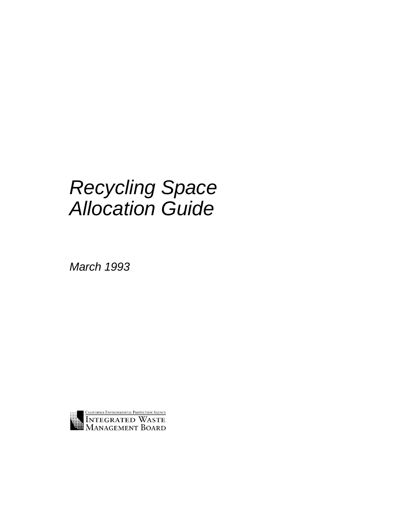# *Recycling Space Allocation Guide*

*March 1993*

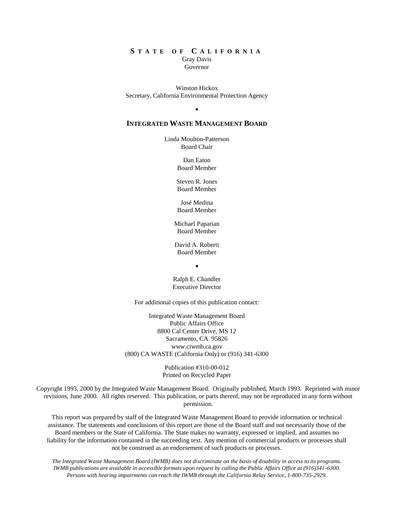#### **S T A T E O F C A L I F O R N I A** Gray Davis Governor

Winston Hickox Secretary, California Environmental Protection Agency

 $\bullet$ 

# **INTEGRATED WASTE MANAGEMENT BOARD**

Linda Moulton-Patterson Board Chair

> Dan Eaton Board Member

Steven R. Jones Board Member

José Medina Board Member

Michael Paparian Board Member

David A. Roberti Board Member

 $\blacksquare$ 

Ralph E. Chandler Executive Director

For additional copies of this publication contact:

Integrated Waste Management Board Public Affairs Office 8800 Cal Center Drive, MS 12 Sacramento, CA 95826 www.ciwmb.ca.gov (800) CA WASTE (California Only) or (916) 341-6300

> Publication #310-00-012 Printed on Recycled Paper

Copyright 1993, 2000 by the Integrated Waste Management Board. Originally published, March 1993. Reprinted with minor revisions, June 2000. All rights reserved. This publication, or parts thereof, may not be reproduced in any form without permission.

This report was prepared by staff of the Integrated Waste Management Board to provide information or technical assistance. The statements and conclusions of this report are those of the Board staff and not necessarily those of the Board members or the State of California. The State makes no warranty, expressed or implied, and assumes no liability for the information contained in the succeeding text. Any mention of commercial products or processes shall not be construed as an endorsement of such products or processes.

*The Integrated Waste Management Board (IWMB) does not discriminate on the basis of disability in access to its programs. IWMB publications are available in accessible formats upon request by calling the Public Affairs Office at (916)341-6300. Persons with hearing impairments can reach the IWMB through the California Relay Service, 1-800-735-2929.*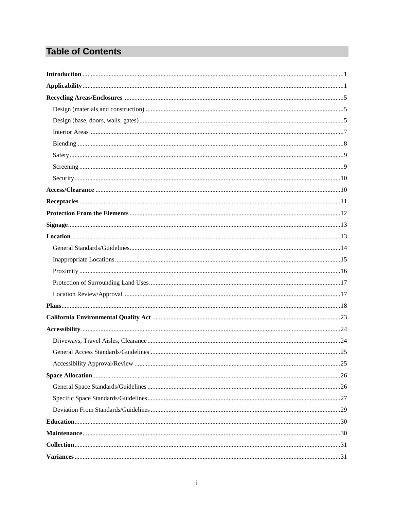# **Table of Contents**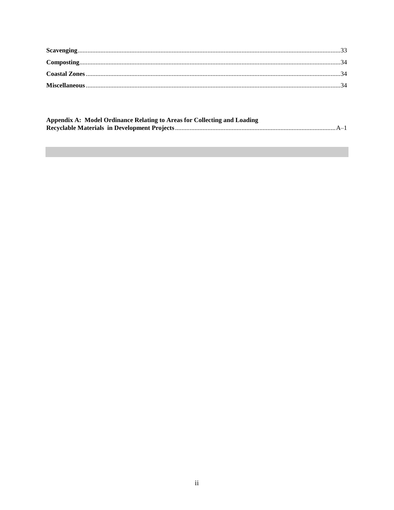| Appendix A: Model Ordinance Relating to Areas for Collecting and Loading |  |
|--------------------------------------------------------------------------|--|
|                                                                          |  |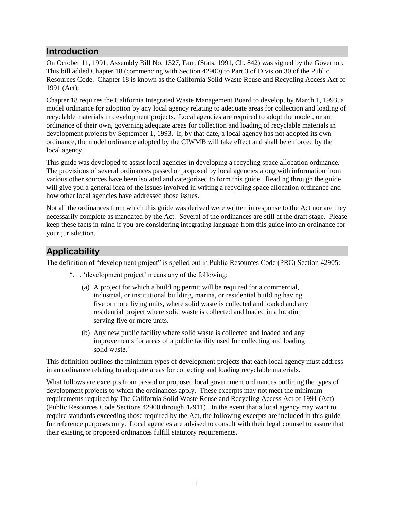# **Introduction**

On October 11, 1991, Assembly Bill No. 1327, Farr, (Stats. 1991, Ch. 842) was signed by the Governor. This bill added Chapter 18 (commencing with Section 42900) to Part 3 of Division 30 of the Public Resources Code. Chapter 18 is known as the California Solid Waste Reuse and Recycling Access Act of 1991 (Act).

Chapter 18 requires the California Integrated Waste Management Board to develop, by March 1, 1993, a model ordinance for adoption by any local agency relating to adequate areas for collection and loading of recyclable materials in development projects. Local agencies are required to adopt the model, or an ordinance of their own, governing adequate areas for collection and loading of recyclable materials in development projects by September 1, 1993. If, by that date, a local agency has not adopted its own ordinance, the model ordinance adopted by the CIWMB will take effect and shall be enforced by the local agency.

This guide was developed to assist local agencies in developing a recycling space allocation ordinance. The provisions of several ordinances passed or proposed by local agencies along with information from various other sources have been isolated and categorized to form this guide. Reading through the guide will give you a general idea of the issues involved in writing a recycling space allocation ordinance and how other local agencies have addressed those issues.

Not all the ordinances from which this guide was derived were written in response to the Act nor are they necessarily complete as mandated by the Act. Several of the ordinances are still at the draft stage. Please keep these facts in mind if you are considering integrating language from this guide into an ordinance for your jurisdiction.

# **Applicability**

The definition of "development project" is spelled out in Public Resources Code (PRC) Section 42905:

". . . 'development project' means any of the following:

- (a) A project for which a building permit will be required for a commercial, industrial, or institutional building, marina, or residential building having five or more living units, where solid waste is collected and loaded and any residential project where solid waste is collected and loaded in a location serving five or more units.
- (b) Any new public facility where solid waste is collected and loaded and any improvements for areas of a public facility used for collecting and loading solid waste."

This definition outlines the minimum types of development projects that each local agency must address in an ordinance relating to adequate areas for collecting and loading recyclable materials.

What follows are excerpts from passed or proposed local government ordinances outlining the types of development projects to which the ordinances apply. These excerpts may not meet the minimum requirements required by The California Solid Waste Reuse and Recycling Access Act of 1991 (Act) (Public Resources Code Sections 42900 through 42911). In the event that a local agency may want to require standards exceeding those required by the Act, the following excerpts are included in this guide for reference purposes only. Local agencies are advised to consult with their legal counsel to assure that their existing or proposed ordinances fulfill statutory requirements.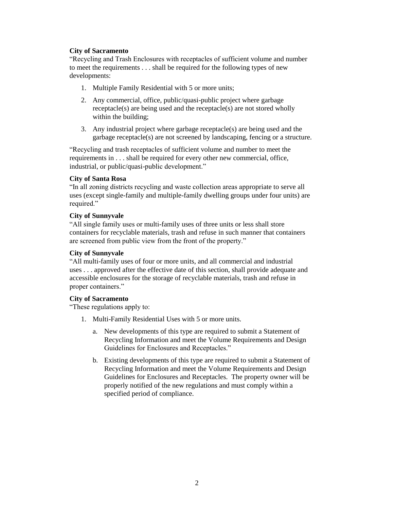# **City of Sacramento**

"Recycling and Trash Enclosures with receptacles of sufficient volume and number to meet the requirements . . . shall be required for the following types of new developments:

- 1. Multiple Family Residential with 5 or more units;
- 2. Any commercial, office, public/quasi-public project where garbage receptacle(s) are being used and the receptacle(s) are not stored wholly within the building;
- 3. Any industrial project where garbage receptacle(s) are being used and the garbage receptacle(s) are not screened by landscaping, fencing or a structure.

"Recycling and trash receptacles of sufficient volume and number to meet the requirements in . . . shall be required for every other new commercial, office, industrial, or public/quasi-public development."

# **City of Santa Rosa**

"In all zoning districts recycling and waste collection areas appropriate to serve all uses (except single-family and multiple-family dwelling groups under four units) are required."

# **City of Sunnyvale**

"All single family uses or multi-family uses of three units or less shall store containers for recyclable materials, trash and refuse in such manner that containers are screened from public view from the front of the property."

# **City of Sunnyvale**

"All multi-family uses of four or more units, and all commercial and industrial uses . . . approved after the effective date of this section, shall provide adequate and accessible enclosures for the storage of recyclable materials, trash and refuse in proper containers."

# **City of Sacramento**

"These regulations apply to:

- 1. Multi-Family Residential Uses with 5 or more units.
	- a. New developments of this type are required to submit a Statement of Recycling Information and meet the Volume Requirements and Design Guidelines for Enclosures and Receptacles."
	- b. Existing developments of this type are required to submit a Statement of Recycling Information and meet the Volume Requirements and Design Guidelines for Enclosures and Receptacles. The property owner will be properly notified of the new regulations and must comply within a specified period of compliance.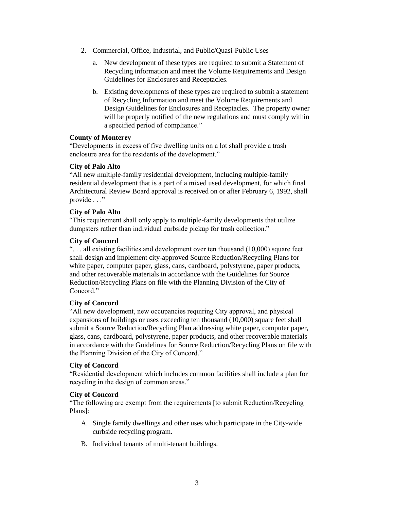- 2. Commercial, Office, Industrial, and Public/Quasi-Public Uses
	- a. New development of these types are required to submit a Statement of Recycling information and meet the Volume Requirements and Design Guidelines for Enclosures and Receptacles.
	- b. Existing developments of these types are required to submit a statement of Recycling Information and meet the Volume Requirements and Design Guidelines for Enclosures and Receptacles. The property owner will be properly notified of the new regulations and must comply within a specified period of compliance."

#### **County of Monterey**

"Developments in excess of five dwelling units on a lot shall provide a trash enclosure area for the residents of the development."

#### **City of Palo Alto**

"All new multiple-family residential development, including multiple-family residential development that is a part of a mixed used development, for which final Architectural Review Board approval is received on or after February 6, 1992, shall provide . . ."

# **City of Palo Alto**

"This requirement shall only apply to multiple-family developments that utilize dumpsters rather than individual curbside pickup for trash collection."

#### **City of Concord**

". . . all existing facilities and development over ten thousand (10,000) square feet shall design and implement city-approved Source Reduction/Recycling Plans for white paper, computer paper, glass, cans, cardboard, polystyrene, paper products, and other recoverable materials in accordance with the Guidelines for Source Reduction/Recycling Plans on file with the Planning Division of the City of Concord."

# **City of Concord**

"All new development, new occupancies requiring City approval, and physical expansions of buildings or uses exceeding ten thousand (10,000) square feet shall submit a Source Reduction/Recycling Plan addressing white paper, computer paper, glass, cans, cardboard, polystyrene, paper products, and other recoverable materials in accordance with the Guidelines for Source Reduction/Recycling Plans on file with the Planning Division of the City of Concord."

#### **City of Concord**

"Residential development which includes common facilities shall include a plan for recycling in the design of common areas."

# **City of Concord**

"The following are exempt from the requirements [to submit Reduction/Recycling Plans]:

- A. Single family dwellings and other uses which participate in the City-wide curbside recycling program.
- B. Individual tenants of multi-tenant buildings.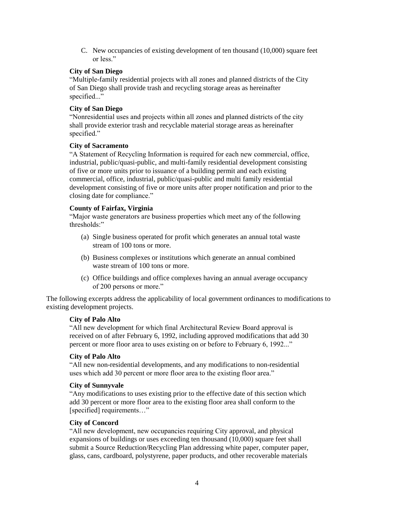C. New occupancies of existing development of ten thousand (10,000) square feet or less."

### **City of San Diego**

"Multiple-family residential projects with all zones and planned districts of the City of San Diego shall provide trash and recycling storage areas as hereinafter specified..."

#### **City of San Diego**

"Nonresidential uses and projects within all zones and planned districts of the city shall provide exterior trash and recyclable material storage areas as hereinafter specified."

#### **City of Sacramento**

"A Statement of Recycling Information is required for each new commercial, office, industrial, public/quasi-public, and multi-family residential development consisting of five or more units prior to issuance of a building permit and each existing commercial, office, industrial, public/quasi-public and multi family residential development consisting of five or more units after proper notification and prior to the closing date for compliance."

#### **County of Fairfax, Virginia**

"Major waste generators are business properties which meet any of the following thresholds:"

- (a) Single business operated for profit which generates an annual total waste stream of 100 tons or more.
- (b) Business complexes or institutions which generate an annual combined waste stream of 100 tons or more.
- (c) Office buildings and office complexes having an annual average occupancy of 200 persons or more."

The following excerpts address the applicability of local government ordinances to modifications to existing development projects.

#### **City of Palo Alto**

"All new development for which final Architectural Review Board approval is received on of after February 6, 1992, including approved modifications that add 30 percent or more floor area to uses existing on or before to February 6, 1992..."

# **City of Palo Alto**

"All new non-residential developments, and any modifications to non-residential uses which add 30 percent or more floor area to the existing floor area."

#### **City of Sunnyvale**

"Any modifications to uses existing prior to the effective date of this section which add 30 percent or more floor area to the existing floor area shall conform to the [specified] requirements..."

# **City of Concord**

"All new development, new occupancies requiring City approval, and physical expansions of buildings or uses exceeding ten thousand (10,000) square feet shall submit a Source Reduction/Recycling Plan addressing white paper, computer paper, glass, cans, cardboard, polystyrene, paper products, and other recoverable materials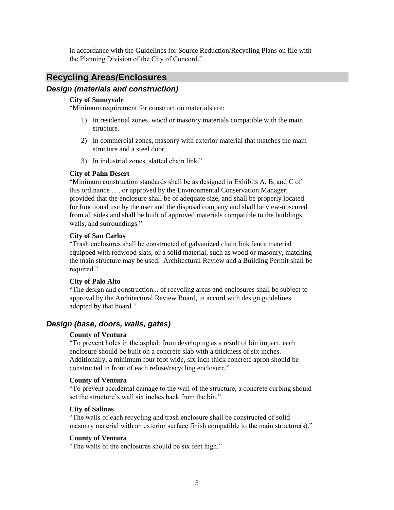in accordance with the Guidelines for Source Reduction/Recycling Plans on file with the Planning Division of the City of Concord."

# **Recycling Areas/Enclosures**

# *Design (materials and construction)*

### **City of Sunnyvale**

"Minimum requirement for construction materials are:

- 1) In residential zones, wood or masonry materials compatible with the main structure.
- 2) In commercial zones, masonry with exterior material that matches the main structure and a steel door.
- 3) In industrial zones, slatted chain link."

#### **City of Palm Desert**

"Minimum construction standards shall be as designed in Exhibits A, B, and C of this ordinance . . . or approved by the Environmental Conservation Manager; provided that the enclosure shall be of adequate size, and shall be properly located for functional use by the user and the disposal company and shall be view-obscured from all sides and shall be built of approved materials compatible to the buildings, walls, and surroundings."

#### **City of San Carlos**

"Trash enclosures shall be constructed of galvanized chain link fence material equipped with redwood slats, or a solid material, such as wood or masonry, matching the main structure may be used. Architectural Review and a Building Permit shall be required."

#### **City of Palo Alto**

"The design and construction... of recycling areas and enclosures shall be subject to approval by the Architectural Review Board, in accord with design guidelines adopted by that board."

# *Design (base, doors, walls, gates)*

#### **County of Ventura**

"To prevent holes in the asphalt from developing as a result of bin impact, each enclosure should be built on a concrete slab with a thickness of six inches. Additionally, a minimum four foot wide, six inch thick concrete apron should be constructed in front of each refuse/recycling enclosure."

#### **County of Ventura**

"To prevent accidental damage to the wall of the structure, a concrete curbing should set the structure's wall six inches back from the bin."

#### **City of Salinas**

"The walls of each recycling and trash enclosure shall be constructed of solid masonry material with an exterior surface finish compatible to the main structure(s)."

#### **County of Ventura**

"The walls of the enclosures should be six feet high."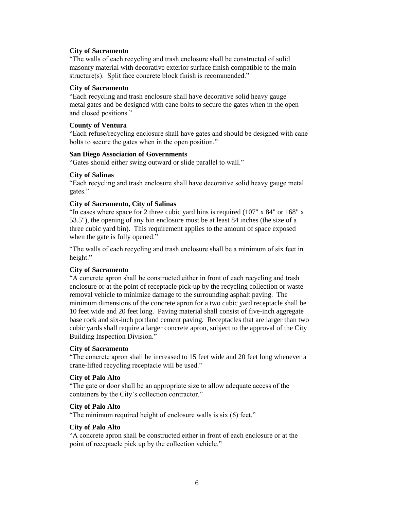#### **City of Sacramento**

"The walls of each recycling and trash enclosure shall be constructed of solid masonry material with decorative exterior surface finish compatible to the main structure(s). Split face concrete block finish is recommended."

#### **City of Sacramento**

"Each recycling and trash enclosure shall have decorative solid heavy gauge metal gates and be designed with cane bolts to secure the gates when in the open and closed positions."

### **County of Ventura**

"Each refuse/recycling enclosure shall have gates and should be designed with cane bolts to secure the gates when in the open position."

#### **San Diego Association of Governments**

"Gates should either swing outward or slide parallel to wall."

#### **City of Salinas**

"Each recycling and trash enclosure shall have decorative solid heavy gauge metal gates."

#### **City of Sacramento, City of Salinas**

"In cases where space for 2 three cubic yard bins is required (107" x 84" or 168" x 53.5"), the opening of any bin enclosure must be at least 84 inches (the size of a three cubic yard bin). This requirement applies to the amount of space exposed when the gate is fully opened."

"The walls of each recycling and trash enclosure shall be a minimum of six feet in height."

# **City of Sacramento**

"A concrete apron shall be constructed either in front of each recycling and trash enclosure or at the point of receptacle pick-up by the recycling collection or waste removal vehicle to minimize damage to the surrounding asphalt paving. The minimum dimensions of the concrete apron for a two cubic yard receptacle shall be 10 feet wide and 20 feet long. Paving material shall consist of five-inch aggregate base rock and six-inch portland cement paving. Receptacles that are larger than two cubic yards shall require a larger concrete apron, subject to the approval of the City Building Inspection Division."

# **City of Sacramento**

"The concrete apron shall be increased to 15 feet wide and 20 feet long whenever a crane-lifted recycling receptacle will be used."

#### **City of Palo Alto**

"The gate or door shall be an appropriate size to allow adequate access of the containers by the City's collection contractor."

# **City of Palo Alto**

"The minimum required height of enclosure walls is six (6) feet."

#### **City of Palo Alto**

"A concrete apron shall be constructed either in front of each enclosure or at the point of receptacle pick up by the collection vehicle."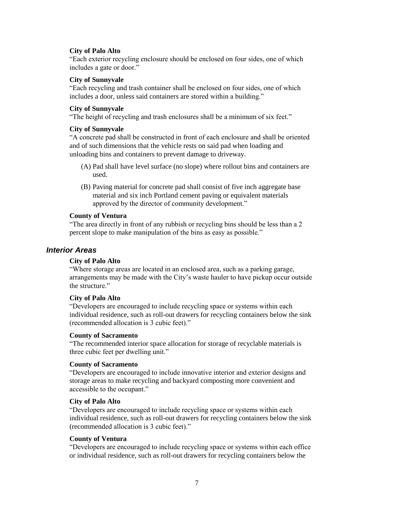#### **City of Palo Alto**

"Each exterior recycling enclosure should be enclosed on four sides, one of which includes a gate or door."

#### **City of Sunnyvale**

"Each recycling and trash container shall be enclosed on four sides, one of which includes a door, unless said containers are stored within a building."

#### **City of Sunnyvale**

"The height of recycling and trash enclosures shall be a minimum of six feet."

#### **City of Sunnyvale**

"A concrete pad shall be constructed in front of each enclosure and shall be oriented and of such dimensions that the vehicle rests on said pad when loading and unloading bins and containers to prevent damage to driveway.

- (A) Pad shall have level surface (no slope) where rollout bins and containers are used.
- (B) Paving material for concrete pad shall consist of five inch aggregate base material and six inch Portland cement paving or equivalent materials approved by the director of community development."

#### **County of Ventura**

"The area directly in front of any rubbish or recycling bins should be less than a 2 percent slope to make manipulation of the bins as easy as possible."

# *Interior Areas*

# **City of Palo Alto**

"Where storage areas are located in an enclosed area, such as a parking garage, arrangements may be made with the City's waste hauler to have pickup occur outside the structure."

#### **City of Palo Alto**

"Developers are encouraged to include recycling space or systems within each individual residence, such as roll-out drawers for recycling containers below the sink (recommended allocation is 3 cubic feet)."

#### **County of Sacramento**

"The recommended interior space allocation for storage of recyclable materials is three cubic feet per dwelling unit."

#### **County of Sacramento**

"Developers are encouraged to include innovative interior and exterior designs and storage areas to make recycling and backyard composting more convenient and accessible to the occupant."

#### **City of Palo Alto**

"Developers are encouraged to include recycling space or systems within each individual residence, such as roll-out drawers for recycling containers below the sink (recommended allocation is 3 cubic feet)."

#### **County of Ventura**

"Developers are encouraged to include recycling space or systems within each office or individual residence, such as roll-out drawers for recycling containers below the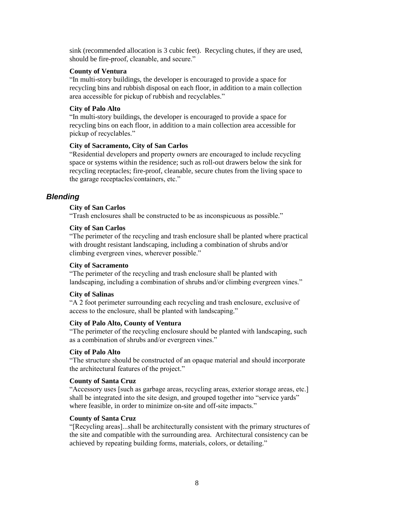sink (recommended allocation is 3 cubic feet). Recycling chutes, if they are used, should be fire-proof, cleanable, and secure."

#### **County of Ventura**

"In multi-story buildings, the developer is encouraged to provide a space for recycling bins and rubbish disposal on each floor, in addition to a main collection area accessible for pickup of rubbish and recyclables."

#### **City of Palo Alto**

"In multi-story buildings, the developer is encouraged to provide a space for recycling bins on each floor, in addition to a main collection area accessible for pickup of recyclables."

# **City of Sacramento, City of San Carlos**

"Residential developers and property owners are encouraged to include recycling space or systems within the residence; such as roll-out drawers below the sink for recycling receptacles; fire-proof, cleanable, secure chutes from the living space to the garage receptacles/containers, etc."

# *Blending*

# **City of San Carlos**

"Trash enclosures shall be constructed to be as inconspicuous as possible."

# **City of San Carlos**

"The perimeter of the recycling and trash enclosure shall be planted where practical with drought resistant landscaping, including a combination of shrubs and/or climbing evergreen vines, wherever possible."

# **City of Sacramento**

"The perimeter of the recycling and trash enclosure shall be planted with landscaping, including a combination of shrubs and/or climbing evergreen vines."

# **City of Salinas**

"A 2 foot perimeter surrounding each recycling and trash enclosure, exclusive of access to the enclosure, shall be planted with landscaping."

# **City of Palo Alto, County of Ventura**

"The perimeter of the recycling enclosure should be planted with landscaping, such as a combination of shrubs and/or evergreen vines."

# **City of Palo Alto**

"The structure should be constructed of an opaque material and should incorporate the architectural features of the project."

# **County of Santa Cruz**

"Accessory uses [such as garbage areas, recycling areas, exterior storage areas, etc.] shall be integrated into the site design, and grouped together into "service yards" where feasible, in order to minimize on-site and off-site impacts."

# **County of Santa Cruz**

"[Recycling areas]...shall be architecturally consistent with the primary structures of the site and compatible with the surrounding area. Architectural consistency can be achieved by repeating building forms, materials, colors, or detailing."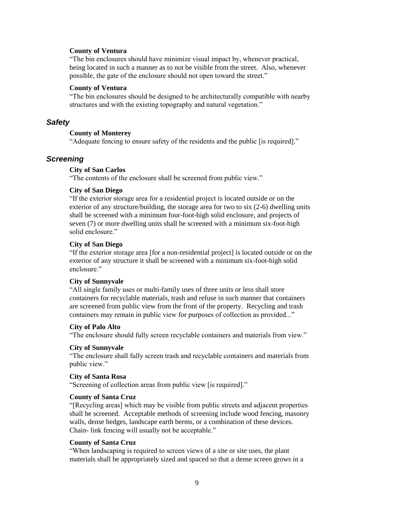#### **County of Ventura**

"The bin enclosures should have minimize visual impact by, whenever practical, being located in such a manner as to not be visible from the street. Also, whenever possible, the gate of the enclosure should not open toward the street."

# **County of Ventura**

"The bin enclosures should be designed to be architecturally compatible with nearby structures and with the existing topography and natural vegetation."

# *Safety*

#### **County of Monterey**

"Adequate fencing to ensure safety of the residents and the public [is required]."

# *Screening*

#### **City of San Carlos**

"The contents of the enclosure shall be screened from public view."

#### **City of San Diego**

"If the exterior storage area for a residential project is located outside or on the exterior of any structure/building, the storage area for two to six (2-6) dwelling units shall be screened with a minimum four-foot-high solid enclosure, and projects of seven (7) or more dwelling units shall be screened with a minimum six-foot-high solid enclosure."

### **City of San Diego**

"If the exterior storage area [for a non-residential project] is located outside or on the exterior of any structure it shall be screened with a minimum six-foot-high solid enclosure."

# **City of Sunnyvale**

"All single family uses or multi-family uses of three units or less shall store containers for recyclable materials, trash and refuse in such manner that containers are screened from public view from the front of the property. Recycling and trash containers may remain in public view for purposes of collection as provided..."

#### **City of Palo Alto**

"The enclosure should fully screen recyclable containers and materials from view."

#### **City of Sunnyvale**

"The enclosure shall fully screen trash and recyclable containers and materials from public view."

#### **City of Santa Rosa**

"Screening of collection areas from public view [is required]."

#### **County of Santa Cruz**

"[Recycling areas] which may be visible from public streets and adjacent properties shall be screened. Acceptable methods of screening include wood fencing, masonry walls, dense hedges, landscape earth berms, or a combination of these devices. Chain- link fencing will usually not be acceptable."

#### **County of Santa Cruz**

"When landscaping is required to screen views of a site or site uses, the plant materials shall be appropriately sized and spaced so that a dense screen grows in a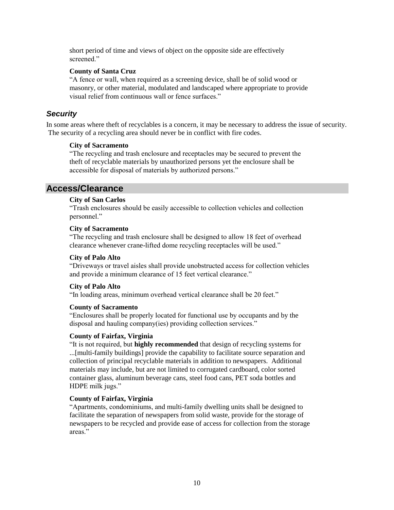short period of time and views of object on the opposite side are effectively screened."

# **County of Santa Cruz**

"A fence or wall, when required as a screening device, shall be of solid wood or masonry, or other material, modulated and landscaped where appropriate to provide visual relief from continuous wall or fence surfaces."

# *Security*

In some areas where theft of recyclables is a concern, it may be necessary to address the issue of security. The security of a recycling area should never be in conflict with fire codes.

#### **City of Sacramento**

"The recycling and trash enclosure and receptacles may be secured to prevent the theft of recyclable materials by unauthorized persons yet the enclosure shall be accessible for disposal of materials by authorized persons."

# **Access/Clearance**

# **City of San Carlos**

"Trash enclosures should be easily accessible to collection vehicles and collection personnel."

# **City of Sacramento**

"The recycling and trash enclosure shall be designed to allow 18 feet of overhead clearance whenever crane-lifted dome recycling receptacles will be used."

# **City of Palo Alto**

"Driveways or travel aisles shall provide unobstructed access for collection vehicles and provide a minimum clearance of 15 feet vertical clearance."

# **City of Palo Alto**

"In loading areas, minimum overhead vertical clearance shall be 20 feet."

# **County of Sacramento**

"Enclosures shall be properly located for functional use by occupants and by the disposal and hauling company(ies) providing collection services."

# **County of Fairfax, Virginia**

"It is not required, but **highly recommended** that design of recycling systems for ...[multi-family buildings] provide the capability to facilitate source separation and collection of principal recyclable materials in addition to newspapers. Additional materials may include, but are not limited to corrugated cardboard, color sorted container glass, aluminum beverage cans, steel food cans, PET soda bottles and HDPE milk jugs."

# **County of Fairfax, Virginia**

"Apartments, condominiums, and multi-family dwelling units shall be designed to facilitate the separation of newspapers from solid waste, provide for the storage of newspapers to be recycled and provide ease of access for collection from the storage areas"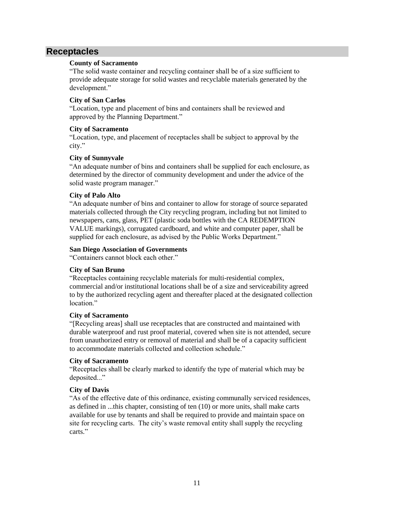# **Receptacles**

# **County of Sacramento**

"The solid waste container and recycling container shall be of a size sufficient to provide adequate storage for solid wastes and recyclable materials generated by the development."

# **City of San Carlos**

"Location, type and placement of bins and containers shall be reviewed and approved by the Planning Department."

# **City of Sacramento**

"Location, type, and placement of receptacles shall be subject to approval by the city."

# **City of Sunnyvale**

"An adequate number of bins and containers shall be supplied for each enclosure, as determined by the director of community development and under the advice of the solid waste program manager."

# **City of Palo Alto**

"An adequate number of bins and container to allow for storage of source separated materials collected through the City recycling program, including but not limited to newspapers, cans, glass, PET (plastic soda bottles with the CA REDEMPTION VALUE markings), corrugated cardboard, and white and computer paper, shall be supplied for each enclosure, as advised by the Public Works Department."

# **San Diego Association of Governments**

"Containers cannot block each other."

# **City of San Bruno**

"Receptacles containing recyclable materials for multi-residential complex, commercial and/or institutional locations shall be of a size and serviceability agreed to by the authorized recycling agent and thereafter placed at the designated collection location."

# **City of Sacramento**

"[Recycling areas] shall use receptacles that are constructed and maintained with durable waterproof and rust proof material, covered when site is not attended, secure from unauthorized entry or removal of material and shall be of a capacity sufficient to accommodate materials collected and collection schedule."

# **City of Sacramento**

"Receptacles shall be clearly marked to identify the type of material which may be deposited..."

# **City of Davis**

"As of the effective date of this ordinance, existing communally serviced residences, as defined in ...this chapter, consisting of ten (10) or more units, shall make carts available for use by tenants and shall be required to provide and maintain space on site for recycling carts. The city's waste removal entity shall supply the recycling carts."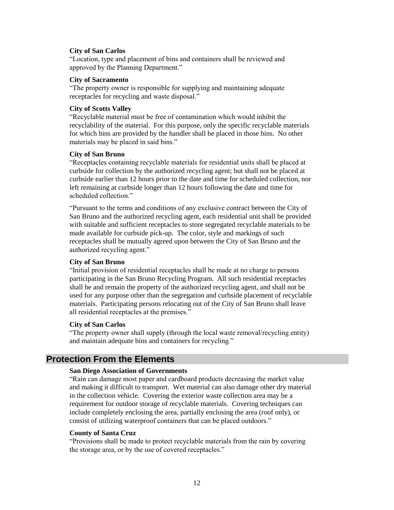#### **City of San Carlos**

"Location, type and placement of bins and containers shall be reviewed and approved by the Planning Department."

#### **City of Sacramento**

"The property owner is responsible for supplying and maintaining adequate receptacles for recycling and waste disposal."

#### **City of Scotts Valley**

"Recyclable material must be free of contamination which would inhibit the recyclability of the material. For this purpose, only the specific recyclable materials for which bins are provided by the handler shall be placed in those bins. No other materials may be placed in said bins."

#### **City of San Bruno**

"Receptacles containing recyclable materials for residential units shall be placed at curbside for collection by the authorized recycling agent; but shall not be placed at curbside earlier than 12 hours prior to the date and time for scheduled collection, nor left remaining at curbside longer than 12 hours following the date and time for scheduled collection."

"Pursuant to the terms and conditions of any exclusive contract between the City of San Bruno and the authorized recycling agent, each residential unit shall be provided with suitable and sufficient receptacles to store segregated recyclable materials to be made available for curbside pick-up. The color, style and markings of such receptacles shall be mutually agreed upon between the City of San Bruno and the authorized recycling agent."

# **City of San Bruno**

"Initial provision of residential receptacles shall be made at no charge to persons participating in the San Bruno Recycling Program. All such residential receptacles shall be and remain the property of the authorized recycling agent, and shall not be used for any purpose other than the segregation and curbside placement of recyclable materials. Participating persons relocating out of the City of San Bruno shall leave all residential receptacles at the premises."

# **City of San Carlos**

"The property owner shall supply (through the local waste removal/recycling entity) and maintain adequate bins and containers for recycling."

# **Protection From the Elements**

# **San Diego Association of Governments**

"Rain can damage most paper and cardboard products decreasing the market value and making it difficult to transport. Wet material can also damage other dry material in the collection vehicle. Covering the exterior waste collection area may be a requirement for outdoor storage of recyclable materials. Covering techniques can include completely enclosing the area, partially enclosing the area (roof only), or consist of utilizing waterproof containers that can be placed outdoors."

#### **County of Santa Cruz**

"Provisions shall be made to protect recyclable materials from the rain by covering the storage area, or by the use of covered receptacles."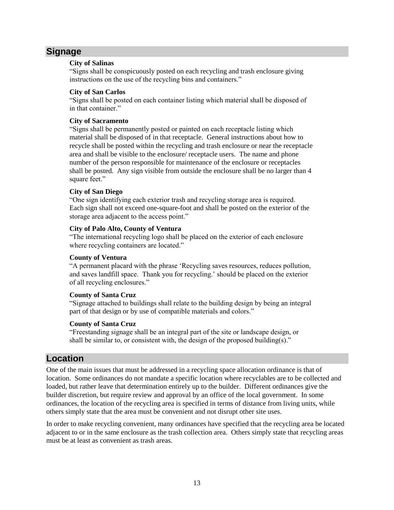# **Signage**

# **City of Salinas**

"Signs shall be conspicuously posted on each recycling and trash enclosure giving instructions on the use of the recycling bins and containers."

# **City of San Carlos**

"Signs shall be posted on each container listing which material shall be disposed of in that container."

# **City of Sacramento**

"Signs shall be permanently posted or painted on each receptacle listing which material shall be disposed of in that receptacle. General instructions about how to recycle shall be posted within the recycling and trash enclosure or near the receptacle area and shall be visible to the enclosure/ receptacle users. The name and phone number of the person responsible for maintenance of the enclosure or receptacles shall be posted. Any sign visible from outside the enclosure shall be no larger than 4 square feet."

# **City of San Diego**

"One sign identifying each exterior trash and recycling storage area is required. Each sign shall not exceed one-square-foot and shall be posted on the exterior of the storage area adjacent to the access point."

# **City of Palo Alto, County of Ventura**

"The international recycling logo shall be placed on the exterior of each enclosure where recycling containers are located."

# **County of Ventura**

"A permanent placard with the phrase 'Recycling saves resources, reduces pollution, and saves landfill space. Thank you for recycling.' should be placed on the exterior of all recycling enclosures."

# **County of Santa Cruz**

"Signage attached to buildings shall relate to the building design by being an integral part of that design or by use of compatible materials and colors."

# **County of Santa Cruz**

"Freestanding signage shall be an integral part of the site or landscape design, or shall be similar to, or consistent with, the design of the proposed building(s)."

# **Location**

One of the main issues that must be addressed in a recycling space allocation ordinance is that of location. Some ordinances do not mandate a specific location where recyclables are to be collected and loaded, but rather leave that determination entirely up to the builder. Different ordinances give the builder discretion, but require review and approval by an office of the local government. In some ordinances, the location of the recycling area is specified in terms of distance from living units, while others simply state that the area must be convenient and not disrupt other site uses.

In order to make recycling convenient, many ordinances have specified that the recycling area be located adjacent to or in the same enclosure as the trash collection area. Others simply state that recycling areas must be at least as convenient as trash areas.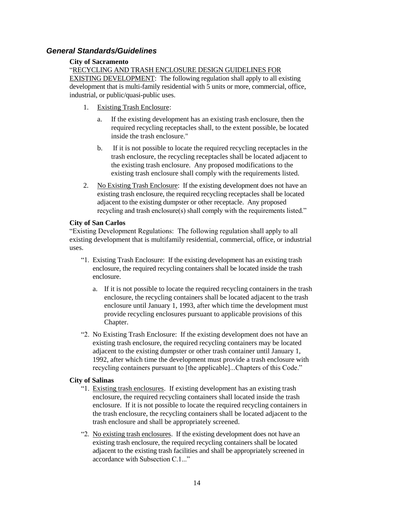# *General Standards/Guidelines*

# **City of Sacramento**

"RECYCLING AND TRASH ENCLOSURE DESIGN GUIDELINES FOR

EXISTING DEVELOPMENT: The following regulation shall apply to all existing development that is multi-family residential with 5 units or more, commercial, office, industrial, or public/quasi-public uses.

- 1. Existing Trash Enclosure:
	- a. If the existing development has an existing trash enclosure, then the required recycling receptacles shall, to the extent possible, be located inside the trash enclosure."
	- b. If it is not possible to locate the required recycling receptacles in the trash enclosure, the recycling receptacles shall be located adjacent to the existing trash enclosure. Any proposed modifications to the existing trash enclosure shall comply with the requirements listed.
- 2. No Existing Trash Enclosure: If the existing development does not have an existing trash enclosure, the required recycling receptacles shall be located adjacent to the existing dumpster or other receptacle. Any proposed recycling and trash enclosure(s) shall comply with the requirements listed."

# **City of San Carlos**

"Existing Development Regulations: The following regulation shall apply to all existing development that is multifamily residential, commercial, office, or industrial uses.

- "1. Existing Trash Enclosure: If the existing development has an existing trash enclosure, the required recycling containers shall be located inside the trash enclosure.
	- a. If it is not possible to locate the required recycling containers in the trash enclosure, the recycling containers shall be located adjacent to the trash enclosure until January 1, 1993, after which time the development must provide recycling enclosures pursuant to applicable provisions of this Chapter.
- "2. No Existing Trash Enclosure: If the existing development does not have an existing trash enclosure, the required recycling containers may be located adjacent to the existing dumpster or other trash container until January 1, 1992, after which time the development must provide a trash enclosure with recycling containers pursuant to [the applicable]...Chapters of this Code."

# **City of Salinas**

- "1. Existing trash enclosures. If existing development has an existing trash enclosure, the required recycling containers shall located inside the trash enclosure. If it is not possible to locate the required recycling containers in the trash enclosure, the recycling containers shall be located adjacent to the trash enclosure and shall be appropriately screened.
- "2. No existing trash enclosures. If the existing development does not have an existing trash enclosure, the required recycling containers shall be located adjacent to the existing trash facilities and shall be appropriately screened in accordance with Subsection C.1..."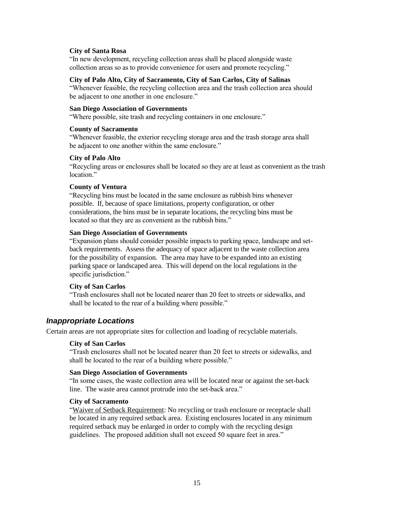#### **City of Santa Rosa**

"In new development, recycling collection areas shall be placed alongside waste collection areas so as to provide convenience for users and promote recycling."

#### **City of Palo Alto, City of Sacramento, City of San Carlos, City of Salinas**

"Whenever feasible, the recycling collection area and the trash collection area should be adjacent to one another in one enclosure."

#### **San Diego Association of Governments**

"Where possible, site trash and recycling containers in one enclosure."

# **County of Sacramento**

"Whenever feasible, the exterior recycling storage area and the trash storage area shall be adjacent to one another within the same enclosure."

#### **City of Palo Alto**

"Recycling areas or enclosures shall be located so they are at least as convenient as the trash location."

#### **County of Ventura**

"Recycling bins must be located in the same enclosure as rubbish bins whenever possible. If, because of space limitations, property configuration, or other considerations, the bins must be in separate locations, the recycling bins must be located so that they are as convenient as the rubbish bins."

#### **San Diego Association of Governments**

"Expansion plans should consider possible impacts to parking space, landscape and setback requirements. Assess the adequacy of space adjacent to the waste collection area for the possibility of expansion. The area may have to be expanded into an existing parking space or landscaped area. This will depend on the local regulations in the specific jurisdiction."

# **City of San Carlos**

"Trash enclosures shall not be located nearer than 20 feet to streets or sidewalks, and shall be located to the rear of a building where possible."

# *Inappropriate Locations*

Certain areas are not appropriate sites for collection and loading of recyclable materials.

# **City of San Carlos**

"Trash enclosures shall not be located nearer than 20 feet to streets or sidewalks, and shall be located to the rear of a building where possible."

# **San Diego Association of Governments**

"In some cases, the waste collection area will be located near or against the set-back line. The waste area cannot protrude into the set-back area."

#### **City of Sacramento**

"Waiver of Setback Requirement: No recycling or trash enclosure or receptacle shall be located in any required setback area. Existing enclosures located in any minimum required setback may be enlarged in order to comply with the recycling design guidelines. The proposed addition shall not exceed 50 square feet in area."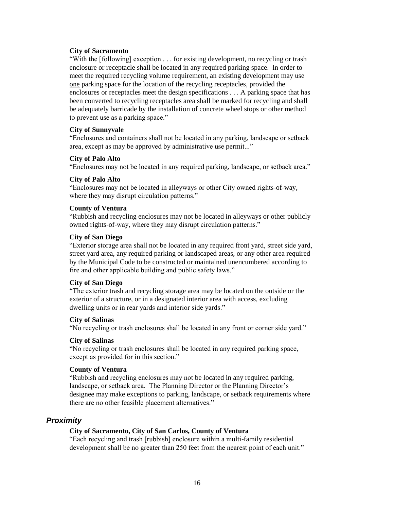#### **City of Sacramento**

"With the [following] exception . . . for existing development, no recycling or trash enclosure or receptacle shall be located in any required parking space. In order to meet the required recycling volume requirement, an existing development may use one parking space for the location of the recycling receptacles, provided the enclosures or receptacles meet the design specifications . . . A parking space that has been converted to recycling receptacles area shall be marked for recycling and shall be adequately barricade by the installation of concrete wheel stops or other method to prevent use as a parking space."

#### **City of Sunnyvale**

"Enclosures and containers shall not be located in any parking, landscape or setback area, except as may be approved by administrative use permit..."

#### **City of Palo Alto**

"Enclosures may not be located in any required parking, landscape, or setback area."

#### **City of Palo Alto**

"Enclosures may not be located in alleyways or other City owned rights-of-way, where they may disrupt circulation patterns."

#### **County of Ventura**

"Rubbish and recycling enclosures may not be located in alleyways or other publicly owned rights-of-way, where they may disrupt circulation patterns."

### **City of San Diego**

"Exterior storage area shall not be located in any required front yard, street side yard, street yard area, any required parking or landscaped areas, or any other area required by the Municipal Code to be constructed or maintained unencumbered according to fire and other applicable building and public safety laws."

#### **City of San Diego**

"The exterior trash and recycling storage area may be located on the outside or the exterior of a structure, or in a designated interior area with access, excluding dwelling units or in rear yards and interior side yards."

# **City of Salinas**

"No recycling or trash enclosures shall be located in any front or corner side yard."

# **City of Salinas**

"No recycling or trash enclosures shall be located in any required parking space, except as provided for in this section."

# **County of Ventura**

"Rubbish and recycling enclosures may not be located in any required parking, landscape, or setback area. The Planning Director or the Planning Director's designee may make exceptions to parking, landscape, or setback requirements where there are no other feasible placement alternatives."

# *Proximity*

# **City of Sacramento, City of San Carlos, County of Ventura**

"Each recycling and trash [rubbish] enclosure within a multi-family residential development shall be no greater than 250 feet from the nearest point of each unit."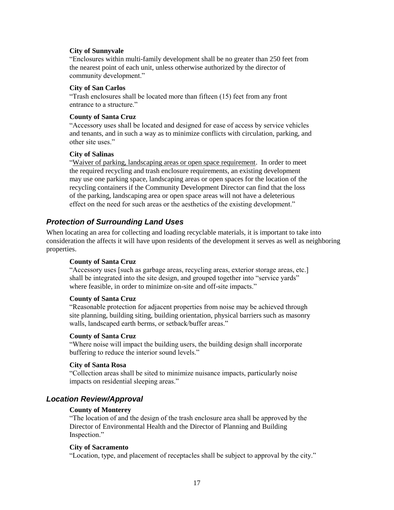#### **City of Sunnyvale**

"Enclosures within multi-family development shall be no greater than 250 feet from the nearest point of each unit, unless otherwise authorized by the director of community development."

#### **City of San Carlos**

"Trash enclosures shall be located more than fifteen (15) feet from any front entrance to a structure."

# **County of Santa Cruz**

"Accessory uses shall be located and designed for ease of access by service vehicles and tenants, and in such a way as to minimize conflicts with circulation, parking, and other site uses."

#### **City of Salinas**

"Waiver of parking, landscaping areas or open space requirement. In order to meet the required recycling and trash enclosure requirements, an existing development may use one parking space, landscaping areas or open spaces for the location of the recycling containers if the Community Development Director can find that the loss of the parking, landscaping area or open space areas will not have a deleterious effect on the need for such areas or the aesthetics of the existing development."

# *Protection of Surrounding Land Uses*

When locating an area for collecting and loading recyclable materials, it is important to take into consideration the affects it will have upon residents of the development it serves as well as neighboring properties.

# **County of Santa Cruz**

"Accessory uses [such as garbage areas, recycling areas, exterior storage areas, etc.] shall be integrated into the site design, and grouped together into "service yards" where feasible, in order to minimize on-site and off-site impacts."

#### **County of Santa Cruz**

"Reasonable protection for adjacent properties from noise may be achieved through site planning, building siting, building orientation, physical barriers such as masonry walls, landscaped earth berms, or setback/buffer areas."

#### **County of Santa Cruz**

"Where noise will impact the building users, the building design shall incorporate buffering to reduce the interior sound levels."

#### **City of Santa Rosa**

"Collection areas shall be sited to minimize nuisance impacts, particularly noise impacts on residential sleeping areas."

# *Location Review/Approval*

#### **County of Monterey**

"The location of and the design of the trash enclosure area shall be approved by the Director of Environmental Health and the Director of Planning and Building Inspection."

#### **City of Sacramento**

"Location, type, and placement of receptacles shall be subject to approval by the city."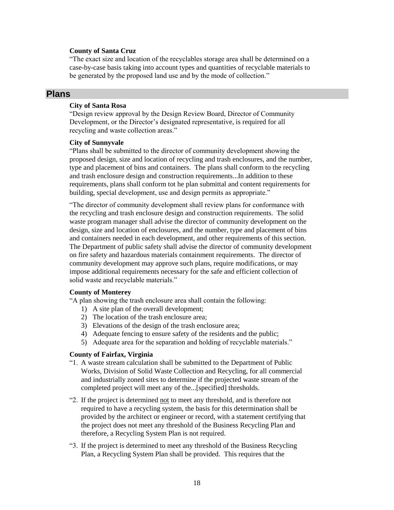#### **County of Santa Cruz**

"The exact size and location of the recyclables storage area shall be determined on a case-by-case basis taking into account types and quantities of recyclable materials to be generated by the proposed land use and by the mode of collection."

# **Plans**

### **City of Santa Rosa**

"Design review approval by the Design Review Board, Director of Community Development, or the Director's designated representative, is required for all recycling and waste collection areas."

#### **City of Sunnyvale**

"Plans shall be submitted to the director of community development showing the proposed design, size and location of recycling and trash enclosures, and the number, type and placement of bins and containers. The plans shall conform to the recycling and trash enclosure design and construction requirements...In addition to these requirements, plans shall conform tot he plan submittal and content requirements for building, special development, use and design permits as appropriate."

"The director of community development shall review plans for conformance with the recycling and trash enclosure design and construction requirements. The solid waste program manager shall advise the director of community development on the design, size and location of enclosures, and the number, type and placement of bins and containers needed in each development, and other requirements of this section. The Department of public safety shall advise the director of community development on fire safety and hazardous materials containment requirements. The director of community development may approve such plans, require modifications, or may impose additional requirements necessary for the safe and efficient collection of solid waste and recyclable materials."

#### **County of Monterey**

"A plan showing the trash enclosure area shall contain the following:

- 1) A site plan of the overall development;
- 2) The location of the trash enclosure area;
- 3) Elevations of the design of the trash enclosure area;
- 4) Adequate fencing to ensure safety of the residents and the public;
- 5) Adequate area for the separation and holding of recyclable materials."

#### **County of Fairfax, Virginia**

- "1. A waste stream calculation shall be submitted to the Department of Public Works, Division of Solid Waste Collection and Recycling, for all commercial and industrially zoned sites to determine if the projected waste stream of the completed project will meet any of the...[specified] thresholds.
- "2. If the project is determined not to meet any threshold, and is therefore not required to have a recycling system, the basis for this determination shall be provided by the architect or engineer or record, with a statement certifying that the project does not meet any threshold of the Business Recycling Plan and therefore, a Recycling System Plan is not required.
- "3. If the project is determined to meet any threshold of the Business Recycling Plan, a Recycling System Plan shall be provided. This requires that the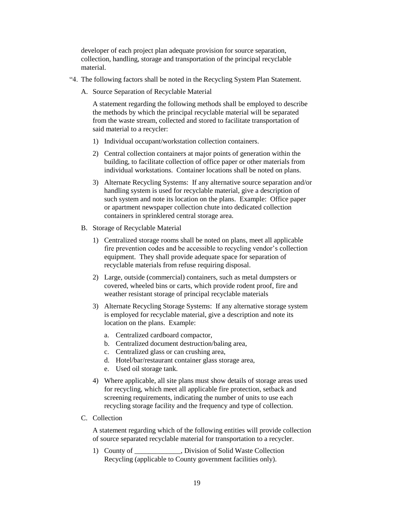developer of each project plan adequate provision for source separation, collection, handling, storage and transportation of the principal recyclable material.

- "4. The following factors shall be noted in the Recycling System Plan Statement.
	- A. Source Separation of Recyclable Material

A statement regarding the following methods shall be employed to describe the methods by which the principal recyclable material will be separated from the waste stream, collected and stored to facilitate transportation of said material to a recycler:

- 1) Individual occupant/workstation collection containers.
- 2) Central collection containers at major points of generation within the building, to facilitate collection of office paper or other materials from individual workstations. Container locations shall be noted on plans.
- 3) Alternate Recycling Systems: If any alternative source separation and/or handling system is used for recyclable material, give a description of such system and note its location on the plans. Example: Office paper or apartment newspaper collection chute into dedicated collection containers in sprinklered central storage area.
- B. Storage of Recyclable Material
	- 1) Centralized storage rooms shall be noted on plans, meet all applicable fire prevention codes and be accessible to recycling vendor's collection equipment. They shall provide adequate space for separation of recyclable materials from refuse requiring disposal.
	- 2) Large, outside (commercial) containers, such as metal dumpsters or covered, wheeled bins or carts, which provide rodent proof, fire and weather resistant storage of principal recyclable materials
	- 3) Alternate Recycling Storage Systems: If any alternative storage system is employed for recyclable material, give a description and note its location on the plans. Example:
		- a. Centralized cardboard compactor,
		- b. Centralized document destruction/baling area,
		- c. Centralized glass or can crushing area,
		- d. Hotel/bar/restaurant container glass storage area,
		- e. Used oil storage tank.
	- 4) Where applicable, all site plans must show details of storage areas used for recycling, which meet all applicable fire protection, setback and screening requirements, indicating the number of units to use each recycling storage facility and the frequency and type of collection.
- C. Collection

A statement regarding which of the following entities will provide collection of source separated recyclable material for transportation to a recycler.

1) County of \_\_\_\_\_\_\_\_\_\_\_\_\_, Division of Solid Waste Collection Recycling (applicable to County government facilities only).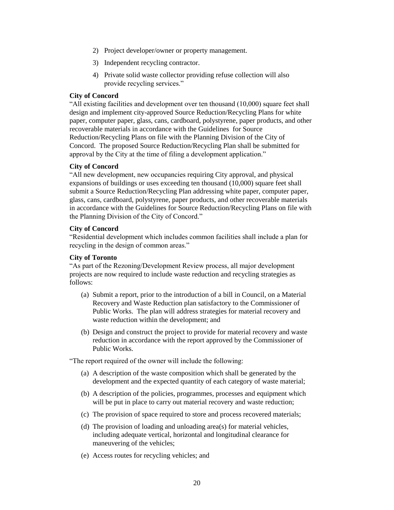- 2) Project developer/owner or property management.
- 3) Independent recycling contractor.
- 4) Private solid waste collector providing refuse collection will also provide recycling services."

### **City of Concord**

"All existing facilities and development over ten thousand (10,000) square feet shall design and implement city-approved Source Reduction/Recycling Plans for white paper, computer paper, glass, cans, cardboard, polystyrene, paper products, and other recoverable materials in accordance with the Guidelines for Source Reduction/Recycling Plans on file with the Planning Division of the City of Concord. The proposed Source Reduction/Recycling Plan shall be submitted for approval by the City at the time of filing a development application."

### **City of Concord**

"All new development, new occupancies requiring City approval, and physical expansions of buildings or uses exceeding ten thousand (10,000) square feet shall submit a Source Reduction/Recycling Plan addressing white paper, computer paper, glass, cans, cardboard, polystyrene, paper products, and other recoverable materials in accordance with the Guidelines for Source Reduction/Recycling Plans on file with the Planning Division of the City of Concord."

#### **City of Concord**

"Residential development which includes common facilities shall include a plan for recycling in the design of common areas."

#### **City of Toronto**

"As part of the Rezoning/Development Review process, all major development projects are now required to include waste reduction and recycling strategies as follows:

- (a) Submit a report, prior to the introduction of a bill in Council, on a Material Recovery and Waste Reduction plan satisfactory to the Commissioner of Public Works. The plan will address strategies for material recovery and waste reduction within the development; and
- (b) Design and construct the project to provide for material recovery and waste reduction in accordance with the report approved by the Commissioner of Public Works.

"The report required of the owner will include the following:

- (a) A description of the waste composition which shall be generated by the development and the expected quantity of each category of waste material;
- (b) A description of the policies, programmes, processes and equipment which will be put in place to carry out material recovery and waste reduction;
- (c) The provision of space required to store and process recovered materials;
- (d) The provision of loading and unloading area(s) for material vehicles, including adequate vertical, horizontal and longitudinal clearance for maneuvering of the vehicles;
- (e) Access routes for recycling vehicles; and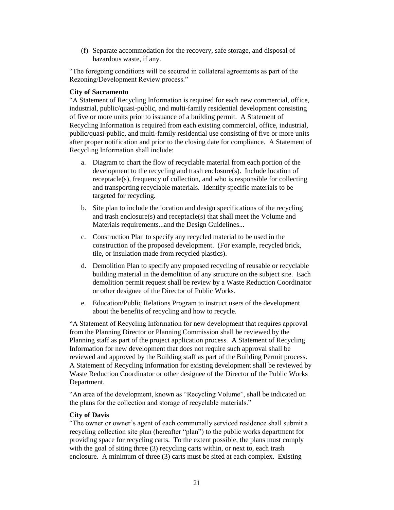(f) Separate accommodation for the recovery, safe storage, and disposal of hazardous waste, if any.

"The foregoing conditions will be secured in collateral agreements as part of the Rezoning/Development Review process."

# **City of Sacramento**

"A Statement of Recycling Information is required for each new commercial, office, industrial, public/quasi-public, and multi-family residential development consisting of five or more units prior to issuance of a building permit. A Statement of Recycling Information is required from each existing commercial, office, industrial, public/quasi-public, and multi-family residential use consisting of five or more units after proper notification and prior to the closing date for compliance. A Statement of Recycling Information shall include:

- a. Diagram to chart the flow of recyclable material from each portion of the development to the recycling and trash enclosure(s). Include location of receptacle(s), frequency of collection, and who is responsible for collecting and transporting recyclable materials. Identify specific materials to be targeted for recycling.
- b. Site plan to include the location and design specifications of the recycling and trash enclosure(s) and receptacle(s) that shall meet the Volume and Materials requirements...and the Design Guidelines...
- c. Construction Plan to specify any recycled material to be used in the construction of the proposed development. (For example, recycled brick, tile, or insulation made from recycled plastics).
- d. Demolition Plan to specify any proposed recycling of reusable or recyclable building material in the demolition of any structure on the subject site. Each demolition permit request shall be review by a Waste Reduction Coordinator or other designee of the Director of Public Works.
- e. Education/Public Relations Program to instruct users of the development about the benefits of recycling and how to recycle.

"A Statement of Recycling Information for new development that requires approval from the Planning Director or Planning Commission shall be reviewed by the Planning staff as part of the project application process. A Statement of Recycling Information for new development that does not require such approval shall be reviewed and approved by the Building staff as part of the Building Permit process. A Statement of Recycling Information for existing development shall be reviewed by Waste Reduction Coordinator or other designee of the Director of the Public Works Department.

"An area of the development, known as "Recycling Volume", shall be indicated on the plans for the collection and storage of recyclable materials."

# **City of Davis**

"The owner or owner's agent of each communally serviced residence shall submit a recycling collection site plan (hereafter "plan") to the public works department for providing space for recycling carts. To the extent possible, the plans must comply with the goal of siting three (3) recycling carts within, or next to, each trash enclosure. A minimum of three (3) carts must be sited at each complex. Existing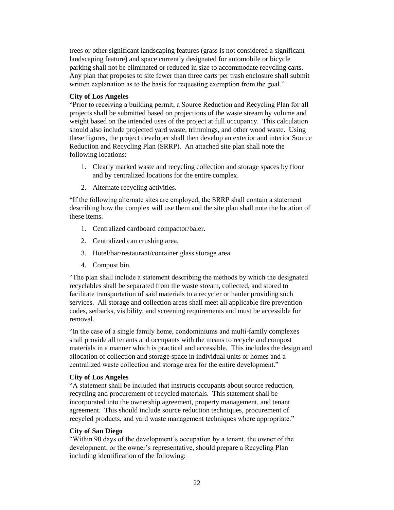trees or other significant landscaping features (grass is not considered a significant landscaping feature) and space currently designated for automobile or bicycle parking shall not be eliminated or reduced in size to accommodate recycling carts. Any plan that proposes to site fewer than three carts per trash enclosure shall submit written explanation as to the basis for requesting exemption from the goal."

# **City of Los Angeles**

"Prior to receiving a building permit, a Source Reduction and Recycling Plan for all projects shall be submitted based on projections of the waste stream by volume and weight based on the intended uses of the project at full occupancy. This calculation should also include projected yard waste, trimmings, and other wood waste. Using these figures, the project developer shall then develop an exterior and interior Source Reduction and Recycling Plan (SRRP). An attached site plan shall note the following locations:

- 1. Clearly marked waste and recycling collection and storage spaces by floor and by centralized locations for the entire complex.
- 2. Alternate recycling activities.

"If the following alternate sites are employed, the SRRP shall contain a statement describing how the complex will use them and the site plan shall note the location of these items.

- 1. Centralized cardboard compactor/baler.
- 2. Centralized can crushing area.
- 3. Hotel/bar/restaurant/container glass storage area.
- 4. Compost bin.

"The plan shall include a statement describing the methods by which the designated recyclables shall be separated from the waste stream, collected, and stored to facilitate transportation of said materials to a recycler or hauler providing such services. All storage and collection areas shall meet all applicable fire prevention codes, setbacks, visibility, and screening requirements and must be accessible for removal.

"In the case of a single family home, condominiums and multi-family complexes shall provide all tenants and occupants with the means to recycle and compost materials in a manner which is practical and accessible. This includes the design and allocation of collection and storage space in individual units or homes and a centralized waste collection and storage area for the entire development."

# **City of Los Angeles**

"A statement shall be included that instructs occupants about source reduction, recycling and procurement of recycled materials. This statement shall be incorporated into the ownership agreement, property management, and tenant agreement. This should include source reduction techniques, procurement of recycled products, and yard waste management techniques where appropriate."

# **City of San Diego**

"Within 90 days of the development's occupation by a tenant, the owner of the development, or the owner's representative, should prepare a Recycling Plan including identification of the following: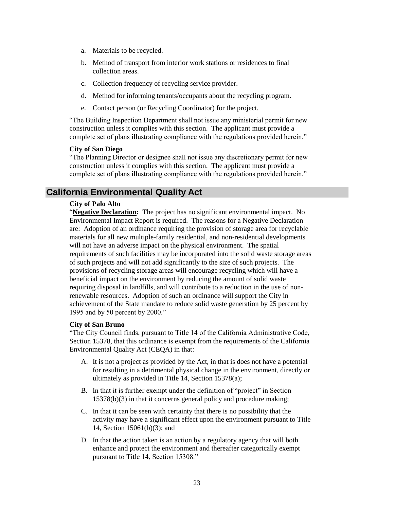- a. Materials to be recycled.
- b. Method of transport from interior work stations or residences to final collection areas.
- c. Collection frequency of recycling service provider.
- d. Method for informing tenants/occupants about the recycling program.
- e. Contact person (or Recycling Coordinator) for the project.

"The Building Inspection Department shall not issue any ministerial permit for new construction unless it complies with this section. The applicant must provide a complete set of plans illustrating compliance with the regulations provided herein."

#### **City of San Diego**

"The Planning Director or designee shall not issue any discretionary permit for new construction unless it complies with this section. The applicant must provide a complete set of plans illustrating compliance with the regulations provided herein."

# **California Environmental Quality Act**

# **City of Palo Alto**

"**Negative Declaration:** The project has no significant environmental impact. No Environmental Impact Report is required. The reasons for a Negative Declaration are: Adoption of an ordinance requiring the provision of storage area for recyclable materials for all new multiple-family residential, and non-residential developments will not have an adverse impact on the physical environment. The spatial requirements of such facilities may be incorporated into the solid waste storage areas of such projects and will not add significantly to the size of such projects. The provisions of recycling storage areas will encourage recycling which will have a beneficial impact on the environment by reducing the amount of solid waste requiring disposal in landfills, and will contribute to a reduction in the use of nonrenewable resources. Adoption of such an ordinance will support the City in achievement of the State mandate to reduce solid waste generation by 25 percent by 1995 and by 50 percent by 2000."

# **City of San Bruno**

"The City Council finds, pursuant to Title 14 of the California Administrative Code, Section 15378, that this ordinance is exempt from the requirements of the California Environmental Quality Act (CEQA) in that:

- A. It is not a project as provided by the Act, in that is does not have a potential for resulting in a detrimental physical change in the environment, directly or ultimately as provided in Title 14, Section 15378(a);
- B. In that it is further exempt under the definition of "project" in Section 15378(b)(3) in that it concerns general policy and procedure making;
- C. In that it can be seen with certainty that there is no possibility that the activity may have a significant effect upon the environment pursuant to Title 14, Section 15061(b)(3); and
- D. In that the action taken is an action by a regulatory agency that will both enhance and protect the environment and thereafter categorically exempt pursuant to Title 14, Section 15308."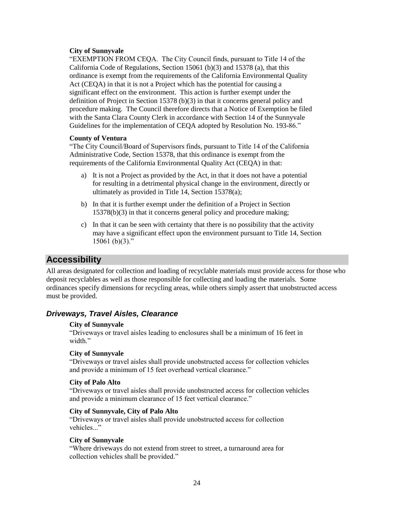# **City of Sunnyvale**

"EXEMPTION FROM CEQA. The City Council finds, pursuant to Title 14 of the California Code of Regulations, Section 15061 (b)(3) and 15378 (a), that this ordinance is exempt from the requirements of the California Environmental Quality Act (CEQA) in that it is not a Project which has the potential for causing a significant effect on the environment. This action is further exempt under the definition of Project in Section 15378 (b)(3) in that it concerns general policy and procedure making. The Council therefore directs that a Notice of Exemption be filed with the Santa Clara County Clerk in accordance with Section 14 of the Sunnyvale Guidelines for the implementation of CEQA adopted by Resolution No. 193-86."

# **County of Ventura**

"The City Council/Board of Supervisors finds, pursuant to Title 14 of the California Administrative Code, Section 15378, that this ordinance is exempt from the requirements of the California Environmental Quality Act (CEQA) in that:

- a) It is not a Project as provided by the Act, in that it does not have a potential for resulting in a detrimental physical change in the environment, directly or ultimately as provided in Title 14, Section 15378(a);
- b) In that it is further exempt under the definition of a Project in Section 15378(b)(3) in that it concerns general policy and procedure making;
- c) In that it can be seen with certainty that there is no possibility that the activity may have a significant effect upon the environment pursuant to Title 14, Section 15061 $(b)(3)$ ."

# **Accessibility**

All areas designated for collection and loading of recyclable materials must provide access for those who deposit recyclables as well as those responsible for collecting and loading the materials. Some ordinances specify dimensions for recycling areas, while others simply assert that unobstructed access must be provided.

# *Driveways, Travel Aisles, Clearance*

# **City of Sunnyvale**

"Driveways or travel aisles leading to enclosures shall be a minimum of 16 feet in width."

# **City of Sunnyvale**

"Driveways or travel aisles shall provide unobstructed access for collection vehicles and provide a minimum of 15 feet overhead vertical clearance."

# **City of Palo Alto**

"Driveways or travel aisles shall provide unobstructed access for collection vehicles and provide a minimum clearance of 15 feet vertical clearance."

# **City of Sunnyvale, City of Palo Alto**

"Driveways or travel aisles shall provide unobstructed access for collection vehicles..."

# **City of Sunnyvale**

"Where driveways do not extend from street to street, a turnaround area for collection vehicles shall be provided."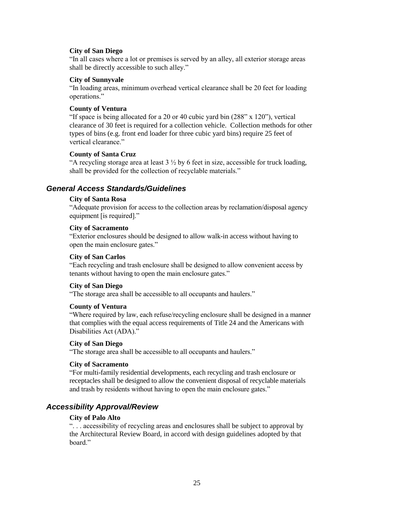#### **City of San Diego**

"In all cases where a lot or premises is served by an alley, all exterior storage areas shall be directly accessible to such alley."

#### **City of Sunnyvale**

"In loading areas, minimum overhead vertical clearance shall be 20 feet for loading operations."

#### **County of Ventura**

"If space is being allocated for a 20 or 40 cubic yard bin (288" x 120"), vertical clearance of 30 feet is required for a collection vehicle. Collection methods for other types of bins (e.g. front end loader for three cubic yard bins) require 25 feet of vertical clearance."

# **County of Santa Cruz**

"A recycling storage area at least  $3\frac{1}{2}$  by 6 feet in size, accessible for truck loading, shall be provided for the collection of recyclable materials."

# *General Access Standards/Guidelines*

#### **City of Santa Rosa**

"Adequate provision for access to the collection areas by reclamation/disposal agency equipment [is required]."

#### **City of Sacramento**

"Exterior enclosures should be designed to allow walk-in access without having to open the main enclosure gates."

### **City of San Carlos**

"Each recycling and trash enclosure shall be designed to allow convenient access by tenants without having to open the main enclosure gates."

# **City of San Diego**

"The storage area shall be accessible to all occupants and haulers."

#### **County of Ventura**

"Where required by law, each refuse/recycling enclosure shall be designed in a manner that complies with the equal access requirements of Title 24 and the Americans with Disabilities Act (ADA)."

# **City of San Diego**

"The storage area shall be accessible to all occupants and haulers."

#### **City of Sacramento**

"For multi-family residential developments, each recycling and trash enclosure or receptacles shall be designed to allow the convenient disposal of recyclable materials and trash by residents without having to open the main enclosure gates."

# *Accessibility Approval/Review*

# **City of Palo Alto**

". . . accessibility of recycling areas and enclosures shall be subject to approval by the Architectural Review Board, in accord with design guidelines adopted by that board"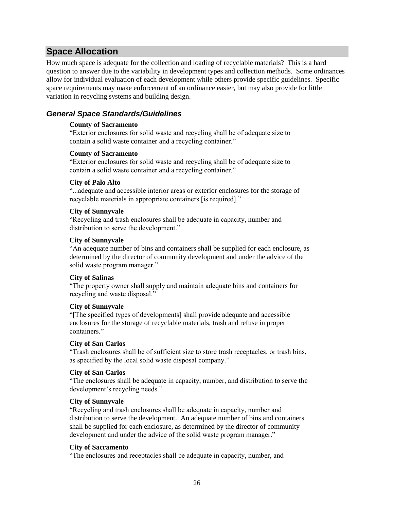# **Space Allocation**

How much space is adequate for the collection and loading of recyclable materials? This is a hard question to answer due to the variability in development types and collection methods. Some ordinances allow for individual evaluation of each development while others provide specific guidelines. Specific space requirements may make enforcement of an ordinance easier, but may also provide for little variation in recycling systems and building design.

# *General Space Standards/Guidelines*

# **County of Sacramento**

"Exterior enclosures for solid waste and recycling shall be of adequate size to contain a solid waste container and a recycling container."

# **County of Sacramento**

"Exterior enclosures for solid waste and recycling shall be of adequate size to contain a solid waste container and a recycling container."

# **City of Palo Alto**

"...adequate and accessible interior areas or exterior enclosures for the storage of recyclable materials in appropriate containers [is required]."

# **City of Sunnyvale**

"Recycling and trash enclosures shall be adequate in capacity, number and distribution to serve the development."

# **City of Sunnyvale**

"An adequate number of bins and containers shall be supplied for each enclosure, as determined by the director of community development and under the advice of the solid waste program manager."

# **City of Salinas**

"The property owner shall supply and maintain adequate bins and containers for recycling and waste disposal."

# **City of Sunnyvale**

"[The specified types of developments] shall provide adequate and accessible enclosures for the storage of recyclable materials, trash and refuse in proper containers."

# **City of San Carlos**

"Trash enclosures shall be of sufficient size to store trash receptacles. or trash bins, as specified by the local solid waste disposal company."

# **City of San Carlos**

"The enclosures shall be adequate in capacity, number, and distribution to serve the development's recycling needs."

# **City of Sunnyvale**

"Recycling and trash enclosures shall be adequate in capacity, number and distribution to serve the development. An adequate number of bins and containers shall be supplied for each enclosure, as determined by the director of community development and under the advice of the solid waste program manager."

# **City of Sacramento**

"The enclosures and receptacles shall be adequate in capacity, number, and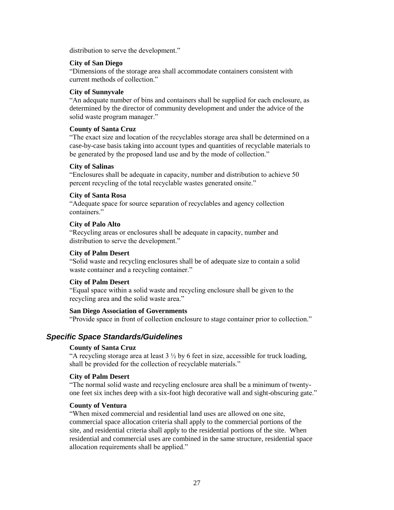distribution to serve the development."

#### **City of San Diego**

"Dimensions of the storage area shall accommodate containers consistent with current methods of collection."

### **City of Sunnyvale**

"An adequate number of bins and containers shall be supplied for each enclosure, as determined by the director of community development and under the advice of the solid waste program manager."

#### **County of Santa Cruz**

"The exact size and location of the recyclables storage area shall be determined on a case-by-case basis taking into account types and quantities of recyclable materials to be generated by the proposed land use and by the mode of collection."

#### **City of Salinas**

"Enclosures shall be adequate in capacity, number and distribution to achieve 50 percent recycling of the total recyclable wastes generated onsite."

# **City of Santa Rosa**

"Adequate space for source separation of recyclables and agency collection containers."

# **City of Palo Alto**

"Recycling areas or enclosures shall be adequate in capacity, number and distribution to serve the development."

### **City of Palm Desert**

"Solid waste and recycling enclosures shall be of adequate size to contain a solid waste container and a recycling container."

# **City of Palm Desert**

"Equal space within a solid waste and recycling enclosure shall be given to the recycling area and the solid waste area."

# **San Diego Association of Governments**

"Provide space in front of collection enclosure to stage container prior to collection."

# *Specific Space Standards/Guidelines*

# **County of Santa Cruz**

"A recycling storage area at least  $3 \frac{1}{2}$  by 6 feet in size, accessible for truck loading, shall be provided for the collection of recyclable materials."

# **City of Palm Desert**

"The normal solid waste and recycling enclosure area shall be a minimum of twentyone feet six inches deep with a six-foot high decorative wall and sight-obscuring gate."

#### **County of Ventura**

"When mixed commercial and residential land uses are allowed on one site, commercial space allocation criteria shall apply to the commercial portions of the site, and residential criteria shall apply to the residential portions of the site. When residential and commercial uses are combined in the same structure, residential space allocation requirements shall be applied."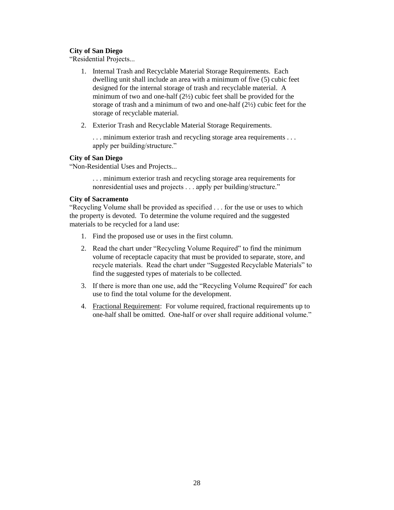# **City of San Diego**

"Residential Projects...

- 1. Internal Trash and Recyclable Material Storage Requirements. Each dwelling unit shall include an area with a minimum of five (5) cubic feet designed for the internal storage of trash and recyclable material. A minimum of two and one-half (2½) cubic feet shall be provided for the storage of trash and a minimum of two and one-half (2½) cubic feet for the storage of recyclable material.
- 2. Exterior Trash and Recyclable Material Storage Requirements.

... minimum exterior trash and recycling storage area requirements ... apply per building/structure."

# **City of San Diego**

"Non-Residential Uses and Projects...

. . . minimum exterior trash and recycling storage area requirements for nonresidential uses and projects . . . apply per building/structure."

# **City of Sacramento**

"Recycling Volume shall be provided as specified . . . for the use or uses to which the property is devoted. To determine the volume required and the suggested materials to be recycled for a land use:

- 1. Find the proposed use or uses in the first column.
- 2. Read the chart under "Recycling Volume Required" to find the minimum volume of receptacle capacity that must be provided to separate, store, and recycle materials. Read the chart under "Suggested Recyclable Materials" to find the suggested types of materials to be collected.
- 3. If there is more than one use, add the "Recycling Volume Required" for each use to find the total volume for the development.
- 4. Fractional Requirement: For volume required, fractional requirements up to one-half shall be omitted. One-half or over shall require additional volume."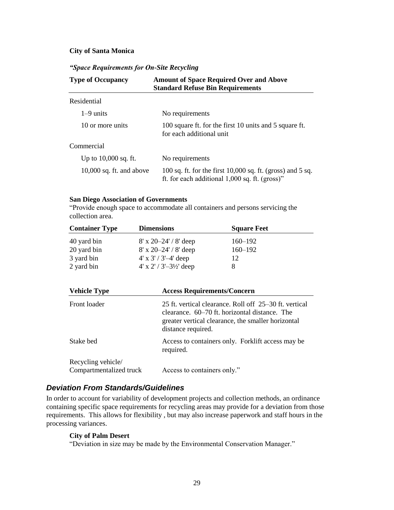### **City of Santa Monica**

# *"Space Requirements for On-Site Recycling*

| <b>Type of Occupancy</b>   | <b>Amount of Space Required Over and Above</b><br><b>Standard Refuse Bin Requirements</b>                        |  |
|----------------------------|------------------------------------------------------------------------------------------------------------------|--|
| Residential                |                                                                                                                  |  |
| $1-9$ units                | No requirements                                                                                                  |  |
| 10 or more units           | 100 square ft. for the first 10 units and 5 square ft.<br>for each additional unit                               |  |
| Commercial                 |                                                                                                                  |  |
| Up to $10,000$ sq. ft.     | No requirements                                                                                                  |  |
| $10,000$ sq. ft. and above | 100 sq. ft. for the first $10,000$ sq. ft. (gross) and 5 sq.<br>ft. for each additional $1,000$ sq. ft. (gross)" |  |

#### **San Diego Association of Governments**

"Provide enough space to accommodate all containers and persons servicing the collection area.

| <b>Container Type</b> | <b>Dimensions</b>         | <b>Square Feet</b> |
|-----------------------|---------------------------|--------------------|
| 40 yard bin           | $8'$ x 20–24' / $8'$ deep | $160 - 192$        |
| 20 yard bin           | $8'$ x 20–24' / $8'$ deep | $160 - 192$        |
| 3 yard bin            | $4'$ x $3'/3'$ -4' deep   | 12                 |
| 2 yard bin            | $4'$ x 2' / 3'-31/2' deep | 8                  |

| <b>Vehicle Type</b>                           | <b>Access Requirements/Concern</b>                                                                                                                                                  |
|-----------------------------------------------|-------------------------------------------------------------------------------------------------------------------------------------------------------------------------------------|
| Front loader                                  | 25 ft. vertical clearance. Roll off 25–30 ft. vertical<br>clearance. 60–70 ft. horizontal distance. The<br>greater vertical clearance, the smaller horizontal<br>distance required. |
| Stake bed                                     | Access to containers only. Forklift access may be<br>required.                                                                                                                      |
| Recycling vehicle/<br>Compartmentalized truck | Access to containers only."                                                                                                                                                         |

# *Deviation From Standards/Guidelines*

In order to account for variability of development projects and collection methods, an ordinance containing specific space requirements for recycling areas may provide for a deviation from those requirements. This allows for flexibility , but may also increase paperwork and staff hours in the processing variances.

# **City of Palm Desert**

"Deviation in size may be made by the Environmental Conservation Manager."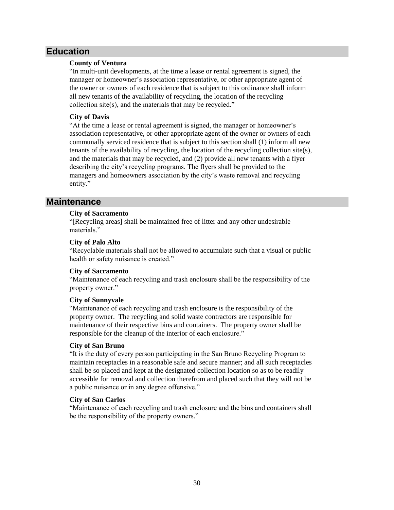# **Education**

# **County of Ventura**

"In multi-unit developments, at the time a lease or rental agreement is signed, the manager or homeowner's association representative, or other appropriate agent of the owner or owners of each residence that is subject to this ordinance shall inform all new tenants of the availability of recycling, the location of the recycling collection site(s), and the materials that may be recycled."

# **City of Davis**

"At the time a lease or rental agreement is signed, the manager or homeowner's association representative, or other appropriate agent of the owner or owners of each communally serviced residence that is subject to this section shall (1) inform all new tenants of the availability of recycling, the location of the recycling collection site(s), and the materials that may be recycled, and (2) provide all new tenants with a flyer describing the city's recycling programs. The flyers shall be provided to the managers and homeowners association by the city's waste removal and recycling entity."

# **Maintenance**

# **City of Sacramento**

"[Recycling areas] shall be maintained free of litter and any other undesirable materials<sup>"</sup>

# **City of Palo Alto**

"Recyclable materials shall not be allowed to accumulate such that a visual or public health or safety nuisance is created."

# **City of Sacramento**

"Maintenance of each recycling and trash enclosure shall be the responsibility of the property owner."

# **City of Sunnyvale**

"Maintenance of each recycling and trash enclosure is the responsibility of the property owner. The recycling and solid waste contractors are responsible for maintenance of their respective bins and containers. The property owner shall be responsible for the cleanup of the interior of each enclosure."

# **City of San Bruno**

"It is the duty of every person participating in the San Bruno Recycling Program to maintain receptacles in a reasonable safe and secure manner; and all such receptacles shall be so placed and kept at the designated collection location so as to be readily accessible for removal and collection therefrom and placed such that they will not be a public nuisance or in any degree offensive."

# **City of San Carlos**

"Maintenance of each recycling and trash enclosure and the bins and containers shall be the responsibility of the property owners."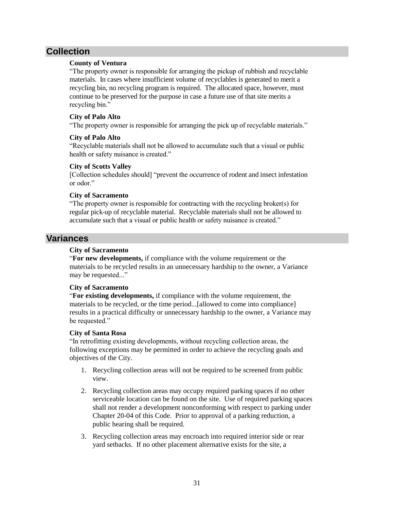# **Collection**

# **County of Ventura**

"The property owner is responsible for arranging the pickup of rubbish and recyclable materials. In cases where insufficient volume of recyclables is generated to merit a recycling bin, no recycling program is required. The allocated space, however, must continue to be preserved for the purpose in case a future use of that site merits a recycling bin."

# **City of Palo Alto**

"The property owner is responsible for arranging the pick up of recyclable materials."

# **City of Palo Alto**

"Recyclable materials shall not be allowed to accumulate such that a visual or public health or safety nuisance is created."

# **City of Scotts Valley**

[Collection schedules should] "prevent the occurrence of rodent and insect infestation or odor."

# **City of Sacramento**

"The property owner is responsible for contracting with the recycling broker(s) for regular pick-up of recyclable material. Recyclable materials shall not be allowed to accumulate such that a visual or public health or safety nuisance is created."

# **Variances**

# **City of Sacramento**

"**For new developments,** if compliance with the volume requirement or the materials to be recycled results in an unnecessary hardship to the owner, a Variance may be requested..."

# **City of Sacramento**

"**For existing developments,** if compliance with the volume requirement, the materials to be recycled, or the time period...[allowed to come into compliance] results in a practical difficulty or unnecessary hardship to the owner, a Variance may be requested."

# **City of Santa Rosa**

"In retrofitting existing developments, without recycling collection areas, the following exceptions may be permitted in order to achieve the recycling goals and objectives of the City.

- 1. Recycling collection areas will not be required to be screened from public view.
- 2. Recycling collection areas may occupy required parking spaces if no other serviceable location can be found on the site. Use of required parking spaces shall not render a development nonconforming with respect to parking under Chapter 20-04 of this Code. Prior to approval of a parking reduction, a public hearing shall be required.
- 3. Recycling collection areas may encroach into required interior side or rear yard setbacks. If no other placement alternative exists for the site, a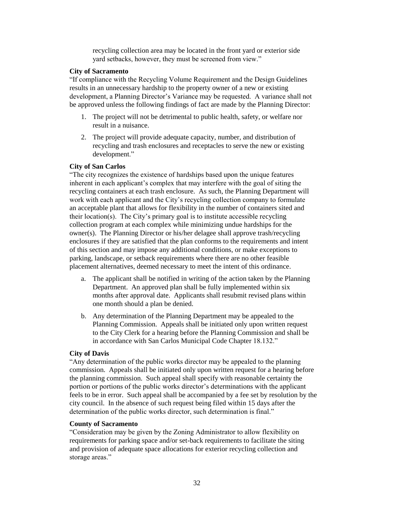recycling collection area may be located in the front yard or exterior side yard setbacks, however, they must be screened from view."

#### **City of Sacramento**

"If compliance with the Recycling Volume Requirement and the Design Guidelines results in an unnecessary hardship to the property owner of a new or existing development, a Planning Director's Variance may be requested. A variance shall not be approved unless the following findings of fact are made by the Planning Director:

- 1. The project will not be detrimental to public health, safety, or welfare nor result in a nuisance.
- 2. The project will provide adequate capacity, number, and distribution of recycling and trash enclosures and receptacles to serve the new or existing development."

# **City of San Carlos**

"The city recognizes the existence of hardships based upon the unique features inherent in each applicant's complex that may interfere with the goal of siting the recycling containers at each trash enclosure. As such, the Planning Department will work with each applicant and the City's recycling collection company to formulate an acceptable plant that allows for flexibility in the number of containers sited and their location(s). The City's primary goal is to institute accessible recycling collection program at each complex while minimizing undue hardships for the owner(s). The Planning Director or his/her delagee shall approve trash/recycling enclosures if they are satisfied that the plan conforms to the requirements and intent of this section and may impose any additional conditions, or make exceptions to parking, landscape, or setback requirements where there are no other feasible placement alternatives, deemed necessary to meet the intent of this ordinance.

- a. The applicant shall be notified in writing of the action taken by the Planning Department. An approved plan shall be fully implemented within six months after approval date. Applicants shall resubmit revised plans within one month should a plan be denied.
- b. Any determination of the Planning Department may be appealed to the Planning Commission. Appeals shall be initiated only upon written request to the City Clerk for a hearing before the Planning Commission and shall be in accordance with San Carlos Municipal Code Chapter 18.132."

# **City of Davis**

"Any determination of the public works director may be appealed to the planning commission. Appeals shall be initiated only upon written request for a hearing before the planning commission. Such appeal shall specify with reasonable certainty the portion or portions of the public works director's determinations with the applicant feels to be in error. Such appeal shall be accompanied by a fee set by resolution by the city council. In the absence of such request being filed within 15 days after the determination of the public works director, such determination is final."

# **County of Sacramento**

"Consideration may be given by the Zoning Administrator to allow flexibility on requirements for parking space and/or set-back requirements to facilitate the siting and provision of adequate space allocations for exterior recycling collection and storage areas."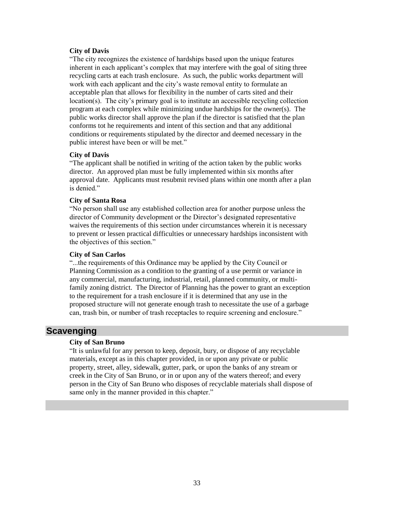### **City of Davis**

"The city recognizes the existence of hardships based upon the unique features inherent in each applicant's complex that may interfere with the goal of siting three recycling carts at each trash enclosure. As such, the public works department will work with each applicant and the city's waste removal entity to formulate an acceptable plan that allows for flexibility in the number of carts sited and their location(s). The city's primary goal is to institute an accessible recycling collection program at each complex while minimizing undue hardships for the owner(s). The public works director shall approve the plan if the director is satisfied that the plan conforms tot he requirements and intent of this section and that any additional conditions or requirements stipulated by the director and deemed necessary in the public interest have been or will be met."

#### **City of Davis**

"The applicant shall be notified in writing of the action taken by the public works director. An approved plan must be fully implemented within six months after approval date. Applicants must resubmit revised plans within one month after a plan is denied."

#### **City of Santa Rosa**

"No person shall use any established collection area for another purpose unless the director of Community development or the Director's designated representative waives the requirements of this section under circumstances wherein it is necessary to prevent or lessen practical difficulties or unnecessary hardships inconsistent with the objectives of this section."

### **City of San Carlos**

"...the requirements of this Ordinance may be applied by the City Council or Planning Commission as a condition to the granting of a use permit or variance in any commercial, manufacturing, industrial, retail, planned community, or multifamily zoning district. The Director of Planning has the power to grant an exception to the requirement for a trash enclosure if it is determined that any use in the proposed structure will not generate enough trash to necessitate the use of a garbage can, trash bin, or number of trash receptacles to require screening and enclosure."

# **Scavenging**

# **City of San Bruno**

"It is unlawful for any person to keep, deposit, bury, or dispose of any recyclable materials, except as in this chapter provided, in or upon any private or public property, street, alley, sidewalk, gutter, park, or upon the banks of any stream or creek in the City of San Bruno, or in or upon any of the waters thereof; and every person in the City of San Bruno who disposes of recyclable materials shall dispose of same only in the manner provided in this chapter."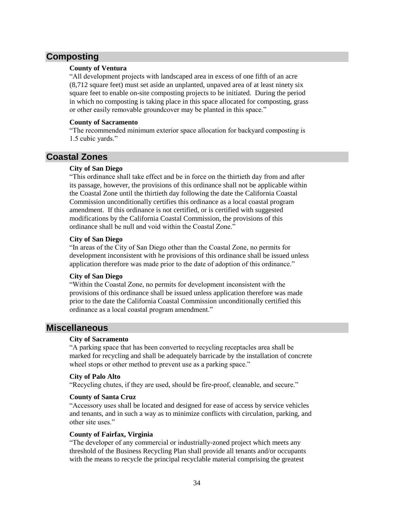# **Composting**

# **County of Ventura**

"All development projects with landscaped area in excess of one fifth of an acre (8,712 square feet) must set aside an unplanted, unpaved area of at least ninety six square feet to enable on-site composting projects to be initiated. During the period in which no composting is taking place in this space allocated for composting, grass or other easily removable groundcover may be planted in this space."

### **County of Sacramento**

"The recommended minimum exterior space allocation for backyard composting is 1.5 cubic yards."

# **Coastal Zones**

# **City of San Diego**

"This ordinance shall take effect and be in force on the thirtieth day from and after its passage, however, the provisions of this ordinance shall not be applicable within the Coastal Zone until the thirtieth day following the date the California Coastal Commission unconditionally certifies this ordinance as a local coastal program amendment. If this ordinance is not certified, or is certified with suggested modifications by the California Coastal Commission, the provisions of this ordinance shall be null and void within the Coastal Zone."

# **City of San Diego**

"In areas of the City of San Diego other than the Coastal Zone, no permits for development inconsistent with he provisions of this ordinance shall be issued unless application therefore was made prior to the date of adoption of this ordinance."

# **City of San Diego**

"Within the Coastal Zone, no permits for development inconsistent with the provisions of this ordinance shall be issued unless application therefore was made prior to the date the California Coastal Commission unconditionally certified this ordinance as a local coastal program amendment."

# **Miscellaneous**

# **City of Sacramento**

"A parking space that has been converted to recycling receptacles area shall be marked for recycling and shall be adequately barricade by the installation of concrete wheel stops or other method to prevent use as a parking space."

# **City of Palo Alto**

"Recycling chutes, if they are used, should be fire-proof, cleanable, and secure."

# **County of Santa Cruz**

"Accessory uses shall be located and designed for ease of access by service vehicles and tenants, and in such a way as to minimize conflicts with circulation, parking, and other site uses."

# **County of Fairfax, Virginia**

"The developer of any commercial or industrially-zoned project which meets any threshold of the Business Recycling Plan shall provide all tenants and/or occupants with the means to recycle the principal recyclable material comprising the greatest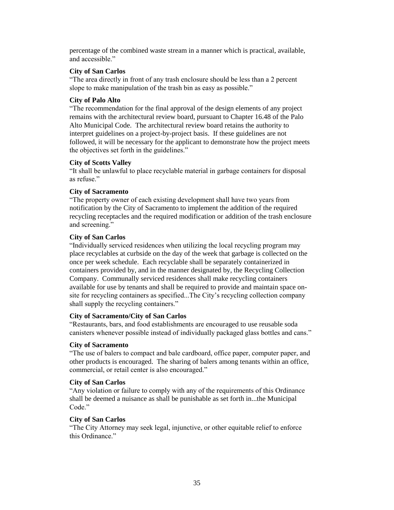percentage of the combined waste stream in a manner which is practical, available, and accessible."

# **City of San Carlos**

"The area directly in front of any trash enclosure should be less than a 2 percent slope to make manipulation of the trash bin as easy as possible."

### **City of Palo Alto**

"The recommendation for the final approval of the design elements of any project remains with the architectural review board, pursuant to Chapter 16.48 of the Palo Alto Municipal Code. The architectural review board retains the authority to interpret guidelines on a project-by-project basis. If these guidelines are not followed, it will be necessary for the applicant to demonstrate how the project meets the objectives set forth in the guidelines."

#### **City of Scotts Valley**

"It shall be unlawful to place recyclable material in garbage containers for disposal as refuse."

# **City of Sacramento**

"The property owner of each existing development shall have two years from notification by the City of Sacramento to implement the addition of the required recycling receptacles and the required modification or addition of the trash enclosure and screening."

# **City of San Carlos**

"Individually serviced residences when utilizing the local recycling program may place recyclables at curbside on the day of the week that garbage is collected on the once per week schedule. Each recyclable shall be separately containerized in containers provided by, and in the manner designated by, the Recycling Collection Company. Communally serviced residences shall make recycling containers available for use by tenants and shall be required to provide and maintain space onsite for recycling containers as specified...The City's recycling collection company shall supply the recycling containers."

# **City of Sacramento/City of San Carlos**

"Restaurants, bars, and food establishments are encouraged to use reusable soda canisters whenever possible instead of individually packaged glass bottles and cans."

# **City of Sacramento**

"The use of balers to compact and bale cardboard, office paper, computer paper, and other products is encouraged. The sharing of balers among tenants within an office, commercial, or retail center is also encouraged."

# **City of San Carlos**

"Any violation or failure to comply with any of the requirements of this Ordinance shall be deemed a nuisance as shall be punishable as set forth in...the Municipal Code<sup>"</sup>

# **City of San Carlos**

"The City Attorney may seek legal, injunctive, or other equitable relief to enforce this Ordinance."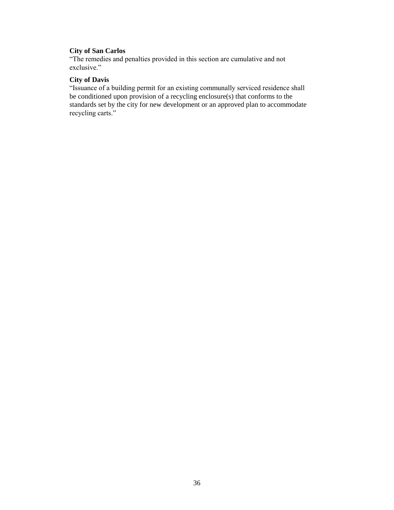# **City of San Carlos**

"The remedies and penalties provided in this section are cumulative and not exclusive."

# **City of Davis**

"Issuance of a building permit for an existing communally serviced residence shall be conditioned upon provision of a recycling enclosure(s) that conforms to the standards set by the city for new development or an approved plan to accommodate recycling carts."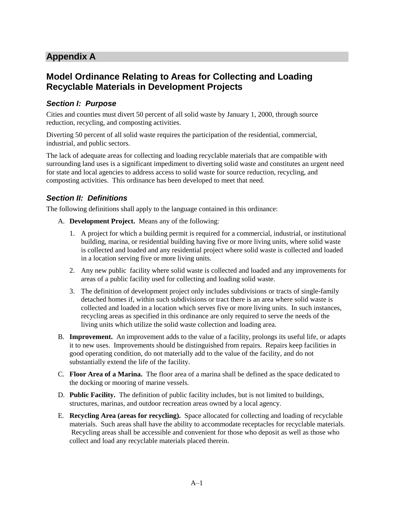# **Appendix A**

# **Model Ordinance Relating to Areas for Collecting and Loading Recyclable Materials in Development Projects**

# *Section I: Purpose*

Cities and counties must divert 50 percent of all solid waste by January 1, 2000, through source reduction, recycling, and composting activities.

Diverting 50 percent of all solid waste requires the participation of the residential, commercial, industrial, and public sectors.

The lack of adequate areas for collecting and loading recyclable materials that are compatible with surrounding land uses is a significant impediment to diverting solid waste and constitutes an urgent need for state and local agencies to address access to solid waste for source reduction, recycling, and composting activities. This ordinance has been developed to meet that need.

# *Section II: Definitions*

The following definitions shall apply to the language contained in this ordinance:

- A. **Development Project.** Means any of the following:
	- 1. A project for which a building permit is required for a commercial, industrial, or institutional building, marina, or residential building having five or more living units, where solid waste is collected and loaded and any residential project where solid waste is collected and loaded in a location serving five or more living units.
	- 2. Any new public facility where solid waste is collected and loaded and any improvements for areas of a public facility used for collecting and loading solid waste.
	- 3. The definition of development project only includes subdivisions or tracts of single-family detached homes if, within such subdivisions or tract there is an area where solid waste is collected and loaded in a location which serves five or more living units. In such instances, recycling areas as specified in this ordinance are only required to serve the needs of the living units which utilize the solid waste collection and loading area.
- B. **Improvement.** An improvement adds to the value of a facility, prolongs its useful life, or adapts it to new uses. Improvements should be distinguished from repairs. Repairs keep facilities in good operating condition, do not materially add to the value of the facility, and do not substantially extend the life of the facility.
- C. **Floor Area of a Marina.** The floor area of a marina shall be defined as the space dedicated to the docking or mooring of marine vessels.
- D. **Public Facility.** The definition of public facility includes, but is not limited to buildings, structures, marinas, and outdoor recreation areas owned by a local agency.
- E. **Recycling Area (areas for recycling).** Space allocated for collecting and loading of recyclable materials. Such areas shall have the ability to accommodate receptacles for recyclable materials. Recycling areas shall be accessible and convenient for those who deposit as well as those who collect and load any recyclable materials placed therein.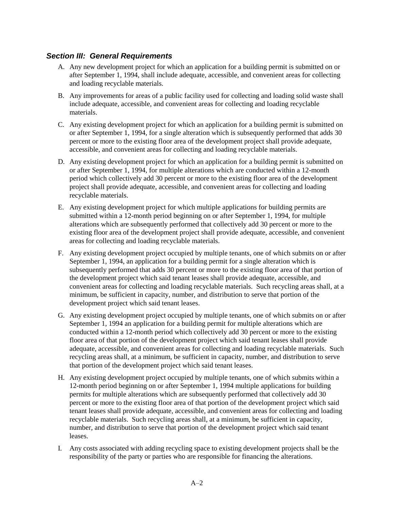# *Section III: General Requirements*

- A. Any new development project for which an application for a building permit is submitted on or after September 1, 1994, shall include adequate, accessible, and convenient areas for collecting and loading recyclable materials.
- B. Any improvements for areas of a public facility used for collecting and loading solid waste shall include adequate, accessible, and convenient areas for collecting and loading recyclable materials.
- C. Any existing development project for which an application for a building permit is submitted on or after September 1, 1994, for a single alteration which is subsequently performed that adds 30 percent or more to the existing floor area of the development project shall provide adequate, accessible, and convenient areas for collecting and loading recyclable materials.
- D. Any existing development project for which an application for a building permit is submitted on or after September 1, 1994, for multiple alterations which are conducted within a 12-month period which collectively add 30 percent or more to the existing floor area of the development project shall provide adequate, accessible, and convenient areas for collecting and loading recyclable materials.
- E. Any existing development project for which multiple applications for building permits are submitted within a 12-month period beginning on or after September 1, 1994, for multiple alterations which are subsequently performed that collectively add 30 percent or more to the existing floor area of the development project shall provide adequate, accessible, and convenient areas for collecting and loading recyclable materials.
- F. Any existing development project occupied by multiple tenants, one of which submits on or after September 1, 1994, an application for a building permit for a single alteration which is subsequently performed that adds 30 percent or more to the existing floor area of that portion of the development project which said tenant leases shall provide adequate, accessible, and convenient areas for collecting and loading recyclable materials. Such recycling areas shall, at a minimum, be sufficient in capacity, number, and distribution to serve that portion of the development project which said tenant leases.
- G. Any existing development project occupied by multiple tenants, one of which submits on or after September 1, 1994 an application for a building permit for multiple alterations which are conducted within a 12-month period which collectively add 30 percent or more to the existing floor area of that portion of the development project which said tenant leases shall provide adequate, accessible, and convenient areas for collecting and loading recyclable materials. Such recycling areas shall, at a minimum, be sufficient in capacity, number, and distribution to serve that portion of the development project which said tenant leases.
- H. Any existing development project occupied by multiple tenants, one of which submits within a 12-month period beginning on or after September 1, 1994 multiple applications for building permits for multiple alterations which are subsequently performed that collectively add 30 percent or more to the existing floor area of that portion of the development project which said tenant leases shall provide adequate, accessible, and convenient areas for collecting and loading recyclable materials. Such recycling areas shall, at a minimum, be sufficient in capacity, number, and distribution to serve that portion of the development project which said tenant leases.
- I. Any costs associated with adding recycling space to existing development projects shall be the responsibility of the party or parties who are responsible for financing the alterations.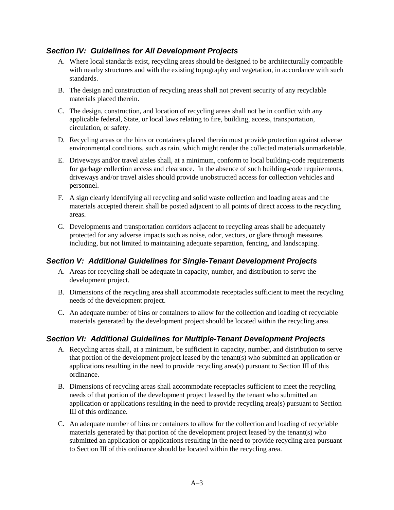# *Section IV: Guidelines for All Development Projects*

- A. Where local standards exist, recycling areas should be designed to be architecturally compatible with nearby structures and with the existing topography and vegetation, in accordance with such standards.
- B. The design and construction of recycling areas shall not prevent security of any recyclable materials placed therein.
- C. The design, construction, and location of recycling areas shall not be in conflict with any applicable federal, State, or local laws relating to fire, building, access, transportation, circulation, or safety.
- D. Recycling areas or the bins or containers placed therein must provide protection against adverse environmental conditions, such as rain, which might render the collected materials unmarketable.
- E. Driveways and/or travel aisles shall, at a minimum, conform to local building-code requirements for garbage collection access and clearance. In the absence of such building-code requirements, driveways and/or travel aisles should provide unobstructed access for collection vehicles and personnel.
- F. A sign clearly identifying all recycling and solid waste collection and loading areas and the materials accepted therein shall be posted adjacent to all points of direct access to the recycling areas.
- G. Developments and transportation corridors adjacent to recycling areas shall be adequately protected for any adverse impacts such as noise, odor, vectors, or glare through measures including, but not limited to maintaining adequate separation, fencing, and landscaping.

# *Section V: Additional Guidelines for Single-Tenant Development Projects*

- A. Areas for recycling shall be adequate in capacity, number, and distribution to serve the development project.
- B. Dimensions of the recycling area shall accommodate receptacles sufficient to meet the recycling needs of the development project.
- C. An adequate number of bins or containers to allow for the collection and loading of recyclable materials generated by the development project should be located within the recycling area.

# *Section VI: Additional Guidelines for Multiple-Tenant Development Projects*

- A. Recycling areas shall, at a minimum, be sufficient in capacity, number, and distribution to serve that portion of the development project leased by the tenant(s) who submitted an application or applications resulting in the need to provide recycling area(s) pursuant to Section III of this ordinance.
- B. Dimensions of recycling areas shall accommodate receptacles sufficient to meet the recycling needs of that portion of the development project leased by the tenant who submitted an application or applications resulting in the need to provide recycling area(s) pursuant to Section III of this ordinance.
- C. An adequate number of bins or containers to allow for the collection and loading of recyclable materials generated by that portion of the development project leased by the tenant(s) who submitted an application or applications resulting in the need to provide recycling area pursuant to Section III of this ordinance should be located within the recycling area.